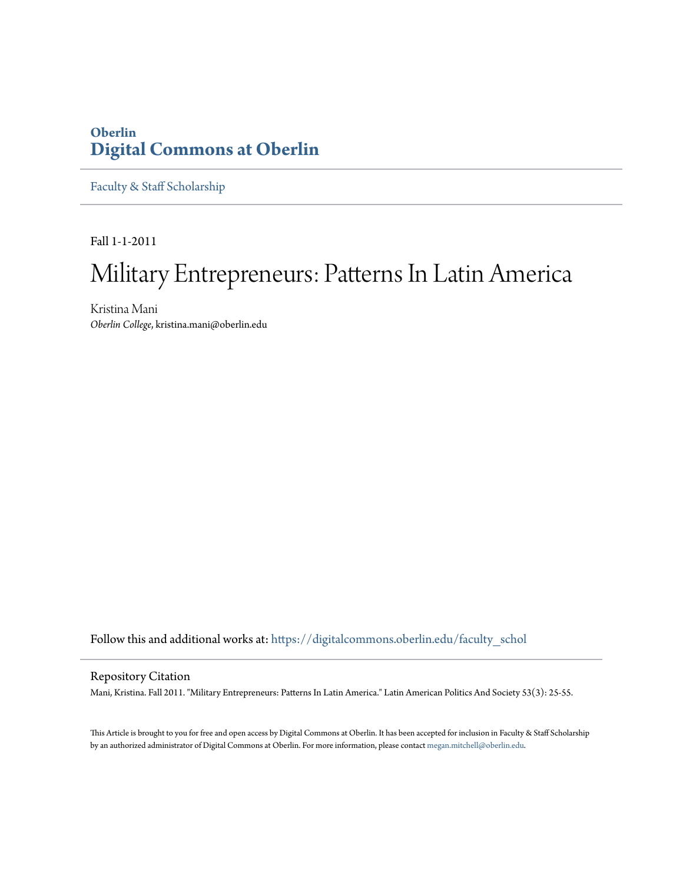# **Oberlin [Digital Commons at Oberlin](https://digitalcommons.oberlin.edu?utm_source=digitalcommons.oberlin.edu%2Ffaculty_schol%2F2869&utm_medium=PDF&utm_campaign=PDFCoverPages)**

[Faculty & Staff Scholarship](https://digitalcommons.oberlin.edu/faculty_schol?utm_source=digitalcommons.oberlin.edu%2Ffaculty_schol%2F2869&utm_medium=PDF&utm_campaign=PDFCoverPages)

Fall 1-1-2011

# Military Entrepreneurs: Patterns In Latin America

Kristina Mani *Oberlin College*, kristina.mani@oberlin.edu

Follow this and additional works at: [https://digitalcommons.oberlin.edu/faculty\\_schol](https://digitalcommons.oberlin.edu/faculty_schol?utm_source=digitalcommons.oberlin.edu%2Ffaculty_schol%2F2869&utm_medium=PDF&utm_campaign=PDFCoverPages)

#### Repository Citation

Mani, Kristina. Fall 2011. "Military Entrepreneurs: Patterns In Latin America." Latin American Politics And Society 53(3): 25-55.

This Article is brought to you for free and open access by Digital Commons at Oberlin. It has been accepted for inclusion in Faculty & Staff Scholarship by an authorized administrator of Digital Commons at Oberlin. For more information, please contact [megan.mitchell@oberlin.edu.](mailto:megan.mitchell@oberlin.edu)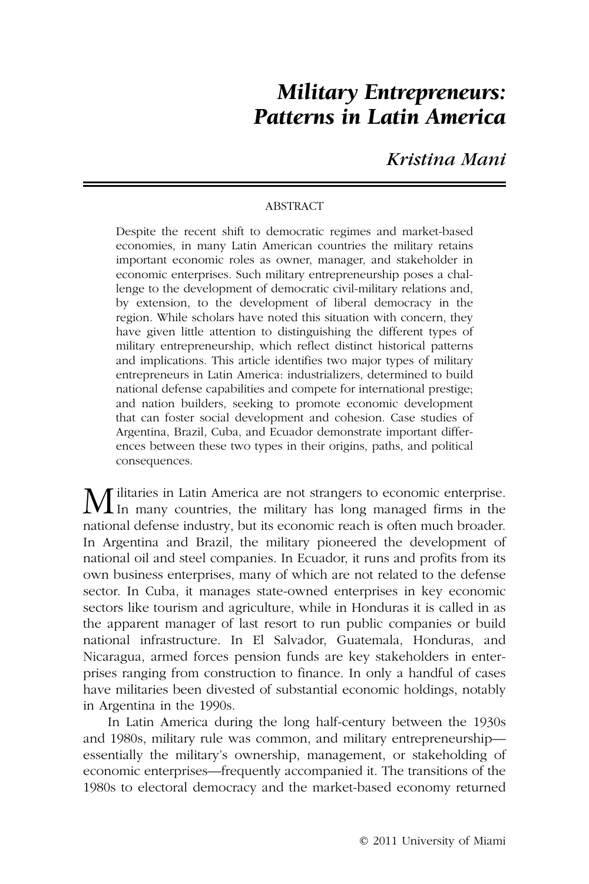# *Military Entrepreneurs: Patterns in Latin America*

*Kristina Mani*

#### ABSTRACT

Despite the recent shift to democratic regimes and market-based economies, in many Latin American countries the military retains important economic roles as owner, manager, and stakeholder in economic enterprises. Such military entrepreneurship poses a challenge to the development of democratic civil-military relations and, by extension, to the development of liberal democracy in the region. While scholars have noted this situation with concern, they have given little attention to distinguishing the different types of military entrepreneurship, which reflect distinct historical patterns and implications. This article identifies two major types of military entrepreneurs in Latin America: industrializers, determined to build national defense capabilities and compete for international prestige; and nation builders, seeking to promote economic development that can foster social development and cohesion. Case studies of Argentina, Brazil, Cuba, and Ecuador demonstrate important differences between these two types in their origins, paths, and political consequences.

M litaries in Latin America are not strangers to economic enterprise.<br>In many countries, the military has long managed firms in the national defense industry, but its economic reach is often much broader. In Argentina and Brazil, the military pioneered the development of national oil and steel companies. In Ecuador, it runs and profits from its own business enterprises, many of which are not related to the defense sector. In Cuba, it manages state-owned enterprises in key economic sectors like tourism and agriculture, while in Honduras it is called in as the apparent manager of last resort to run public companies or build national infrastructure. In El Salvador, Guatemala, Honduras, and Nicaragua, armed forces pension funds are key stakeholders in enterprises ranging from construction to finance. In only a handful of cases have militaries been divested of substantial economic holdings, notably in Argentina in the 1990s.

In Latin America during the long half-century between the 1930s and 1980s, military rule was common, and military entrepreneurship essentially the military's ownership, management, or stakeholding of economic enterprises—frequently accompanied it. The transitions of the 1980s to electoral democracy and the market-based economy returned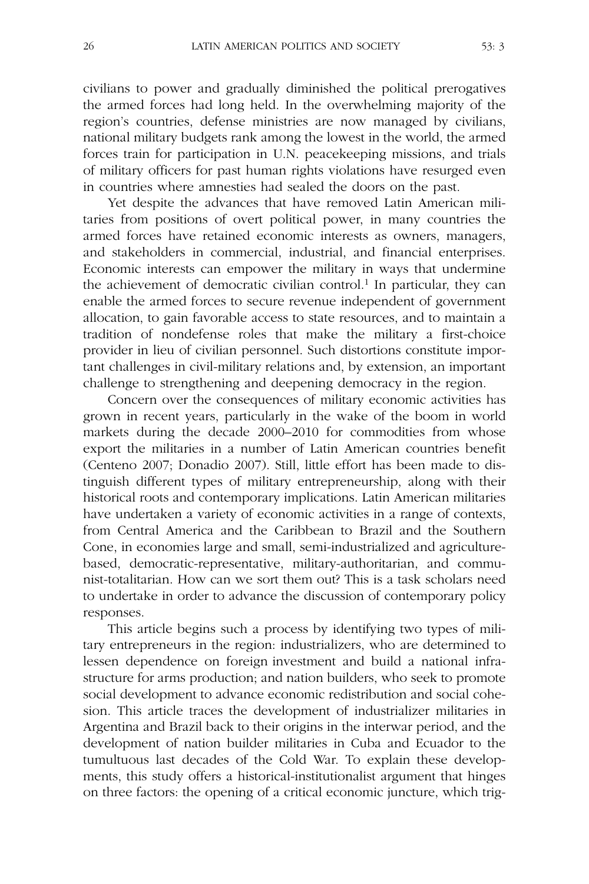civilians to power and gradually diminished the political prerogatives the armed forces had long held. In the overwhelming majority of the region's countries, defense ministries are now managed by civilians, national military budgets rank among the lowest in the world, the armed forces train for participation in U.N. peacekeeping missions, and trials of military officers for past human rights violations have resurged even in countries where amnesties had sealed the doors on the past.

Yet despite the advances that have removed Latin American militaries from positions of overt political power, in many countries the armed forces have retained economic interests as owners, managers, and stakeholders in commercial, industrial, and financial enterprises. Economic interests can empower the military in ways that undermine the achievement of democratic civilian control.<sup>1</sup> In particular, they can enable the armed forces to secure revenue independent of government allocation, to gain favorable access to state resources, and to maintain a tradition of nondefense roles that make the military a first-choice provider in lieu of civilian personnel. Such distortions constitute important challenges in civil-military relations and, by extension, an important challenge to strengthening and deepening democracy in the region.

Concern over the consequences of military economic activities has grown in recent years, particularly in the wake of the boom in world markets during the decade 2000–2010 for commodities from whose export the militaries in a number of Latin American countries benefit (Centeno 2007; Donadio 2007). Still, little effort has been made to distinguish different types of military entrepreneurship, along with their historical roots and contemporary implications. Latin American militaries have undertaken a variety of economic activities in a range of contexts, from Central America and the Caribbean to Brazil and the Southern Cone, in economies large and small, semi-industrialized and agriculturebased, democratic-representative, military-authoritarian, and communist-totalitarian. How can we sort them out? This is a task scholars need to undertake in order to advance the discussion of contemporary policy responses.

This article begins such a process by identifying two types of military entrepreneurs in the region: industrializers, who are determined to lessen dependence on foreign investment and build a national infrastructure for arms production; and nation builders, who seek to promote social development to advance economic redistribution and social cohesion. This article traces the development of industrializer militaries in Argentina and Brazil back to their origins in the interwar period, and the development of nation builder militaries in Cuba and Ecuador to the tumultuous last decades of the Cold War. To explain these developments, this study offers a historical-institutionalist argument that hinges on three factors: the opening of a critical economic juncture, which trig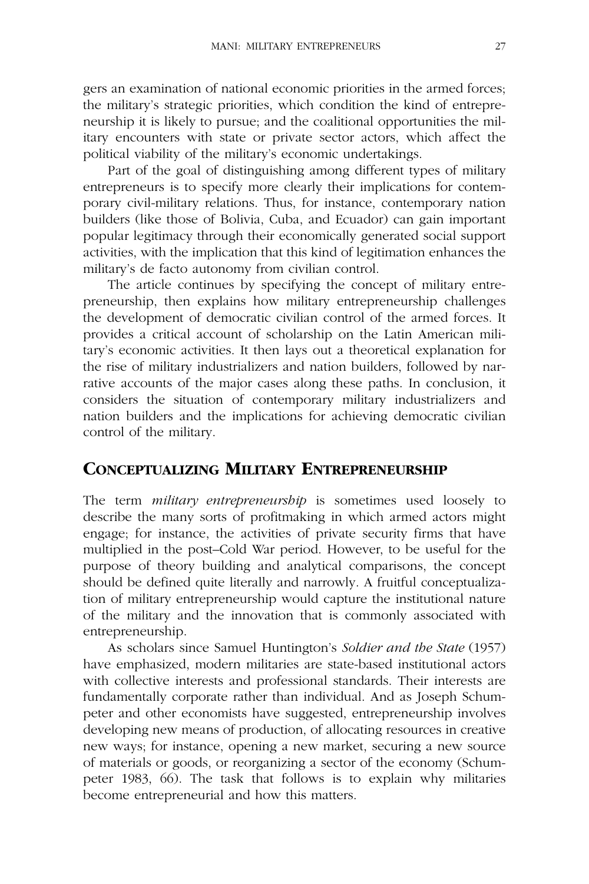gers an examination of national economic priorities in the armed forces; the military's strategic priorities, which condition the kind of entrepreneurship it is likely to pursue; and the coalitional opportunities the military encounters with state or private sector actors, which affect the political viability of the military's economic undertakings.

Part of the goal of distinguishing among different types of military entrepreneurs is to specify more clearly their implications for contemporary civil-military relations. Thus, for instance, contemporary nation builders (like those of Bolivia, Cuba, and Ecuador) can gain important popular legitimacy through their economically generated social support activities, with the implication that this kind of legitimation enhances the military's de facto autonomy from civilian control.

The article continues by specifying the concept of military entrepreneurship, then explains how military entrepreneurship challenges the development of democratic civilian control of the armed forces. It provides a critical account of scholarship on the Latin American military's economic activities. It then lays out a theoretical explanation for the rise of military industrializers and nation builders, followed by narrative accounts of the major cases along these paths. In conclusion, it considers the situation of contemporary military industrializers and nation builders and the implications for achieving democratic civilian control of the military.

# **CONCEPTUALIZING MILITARY ENTREPRENEURSHIP**

The term *military entrepreneurship* is sometimes used loosely to describe the many sorts of profitmaking in which armed actors might engage; for instance, the activities of private security firms that have multiplied in the post–Cold War period. However, to be useful for the purpose of theory building and analytical comparisons, the concept should be defined quite literally and narrowly. A fruitful conceptualization of military entrepreneurship would capture the institutional nature of the military and the innovation that is commonly associated with entrepreneurship.

As scholars since Samuel Huntington's *Soldier and the State* (1957) have emphasized, modern militaries are state-based institutional actors with collective interests and professional standards. Their interests are fundamentally corporate rather than individual. And as Joseph Schumpeter and other economists have suggested, entrepreneurship involves developing new means of production, of allocating resources in creative new ways; for instance, opening a new market, securing a new source of materials or goods, or reorganizing a sector of the economy (Schumpeter 1983, 66). The task that follows is to explain why militaries become entrepreneurial and how this matters.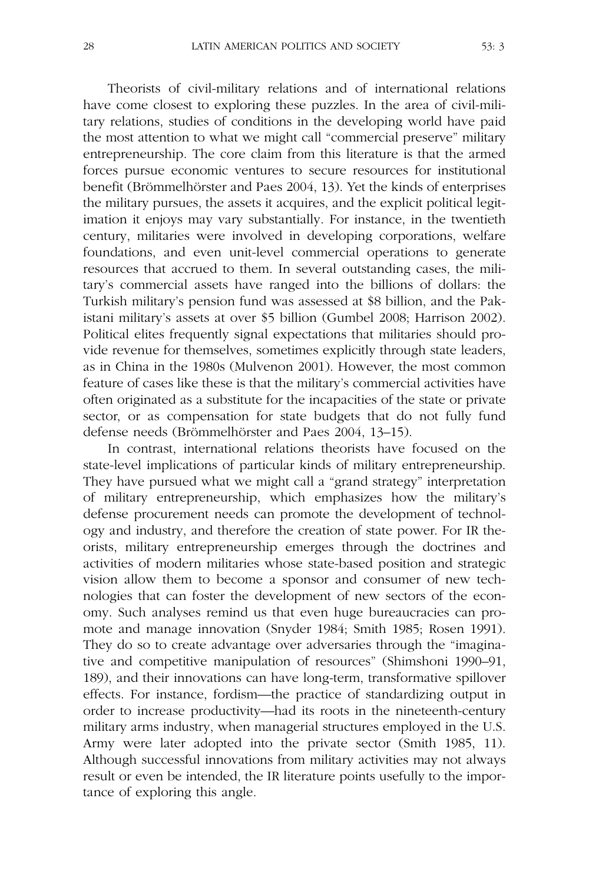Theorists of civil-military relations and of international relations have come closest to exploring these puzzles. In the area of civil-military relations, studies of conditions in the developing world have paid the most attention to what we might call "commercial preserve" military entrepreneurship. The core claim from this literature is that the armed forces pursue economic ventures to secure resources for institutional benefit (Brömmelhörster and Paes 2004, 13). Yet the kinds of enterprises the military pursues, the assets it acquires, and the explicit political legitimation it enjoys may vary substantially. For instance, in the twentieth century, militaries were involved in developing corporations, welfare foundations, and even unit-level commercial operations to generate resources that accrued to them. In several outstanding cases, the military's commercial assets have ranged into the billions of dollars: the Turkish military's pension fund was assessed at \$8 billion, and the Pakistani military's assets at over \$5 billion (Gumbel 2008; Harrison 2002). Political elites frequently signal expectations that militaries should provide revenue for themselves, sometimes explicitly through state leaders, as in China in the 1980s (Mulvenon 2001). However, the most common feature of cases like these is that the military's commercial activities have often originated as a substitute for the incapacities of the state or private sector, or as compensation for state budgets that do not fully fund defense needs (Brömmelhörster and Paes 2004, 13–15).

In contrast, international relations theorists have focused on the state-level implications of particular kinds of military entrepreneurship. They have pursued what we might call a "grand strategy" interpretation of military entrepreneurship, which emphasizes how the military's defense procurement needs can promote the development of technology and industry, and therefore the creation of state power. For IR theorists, military entrepreneurship emerges through the doctrines and activities of modern militaries whose state-based position and strategic vision allow them to become a sponsor and consumer of new technologies that can foster the development of new sectors of the economy. Such analyses remind us that even huge bureaucracies can promote and manage innovation (Snyder 1984; Smith 1985; Rosen 1991). They do so to create advantage over adversaries through the "imaginative and competitive manipulation of resources" (Shimshoni 1990–91, 189), and their innovations can have long-term, transformative spillover effects. For instance, fordism—the practice of standardizing output in order to increase productivity—had its roots in the nineteenth-century military arms industry, when managerial structures employed in the U.S. Army were later adopted into the private sector (Smith 1985, 11). Although successful innovations from military activities may not always result or even be intended, the IR literature points usefully to the importance of exploring this angle.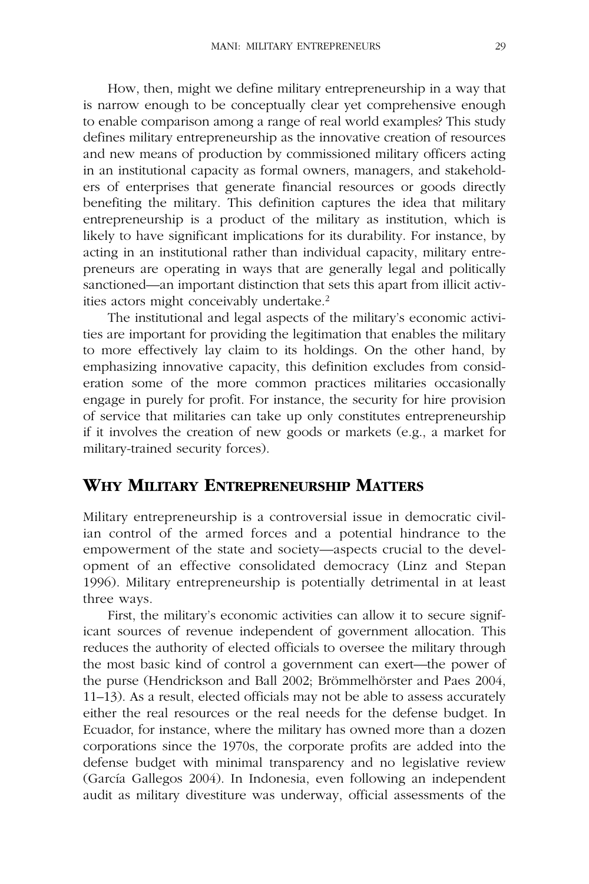How, then, might we define military entrepreneurship in a way that is narrow enough to be conceptually clear yet comprehensive enough to enable comparison among a range of real world examples? This study defines military entrepreneurship as the innovative creation of resources and new means of production by commissioned military officers acting in an institutional capacity as formal owners, managers, and stakeholders of enterprises that generate financial resources or goods directly benefiting the military. This definition captures the idea that military entrepreneurship is a product of the military as institution, which is likely to have significant implications for its durability. For instance, by acting in an institutional rather than individual capacity, military entrepreneurs are operating in ways that are generally legal and politically sanctioned—an important distinction that sets this apart from illicit activities actors might conceivably undertake.2

The institutional and legal aspects of the military's economic activities are important for providing the legitimation that enables the military to more effectively lay claim to its holdings. On the other hand, by emphasizing innovative capacity, this definition excludes from consideration some of the more common practices militaries occasionally engage in purely for profit. For instance, the security for hire provision of service that militaries can take up only constitutes entrepreneurship if it involves the creation of new goods or markets (e.g., a market for military-trained security forces).

# **WHY MILITARY ENTREPRENEURSHIP MATTERS**

Military entrepreneurship is a controversial issue in democratic civilian control of the armed forces and a potential hindrance to the empowerment of the state and society—aspects crucial to the development of an effective consolidated democracy (Linz and Stepan 1996). Military entrepreneurship is potentially detrimental in at least three ways.

First, the military's economic activities can allow it to secure significant sources of revenue independent of government allocation. This reduces the authority of elected officials to oversee the military through the most basic kind of control a government can exert—the power of the purse (Hendrickson and Ball 2002; Brömmelhörster and Paes 2004, 11–13). As a result, elected officials may not be able to assess accurately either the real resources or the real needs for the defense budget. In Ecuador, for instance, where the military has owned more than a dozen corporations since the 1970s, the corporate profits are added into the defense budget with minimal transparency and no legislative review (García Gallegos 2004). In Indonesia, even following an independent audit as military divestiture was underway, official assessments of the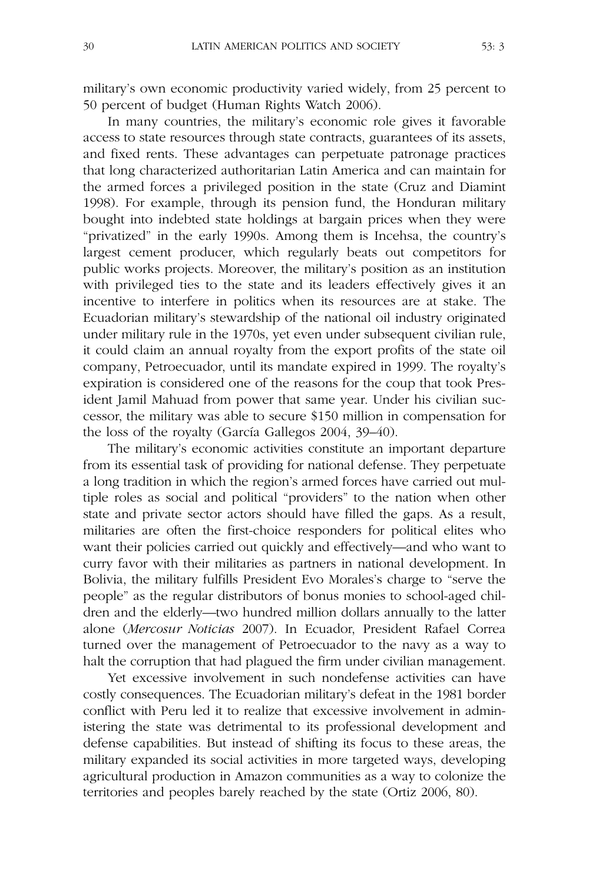military's own economic productivity varied widely, from 25 percent to 50 percent of budget (Human Rights Watch 2006).

In many countries, the military's economic role gives it favorable access to state resources through state contracts, guarantees of its assets, and fixed rents. These advantages can perpetuate patronage practices that long characterized authoritarian Latin America and can maintain for the armed forces a privileged position in the state (Cruz and Diamint 1998). For example, through its pension fund, the Honduran military bought into indebted state holdings at bargain prices when they were "privatized" in the early 1990s. Among them is Incehsa, the country's largest cement producer, which regularly beats out competitors for public works projects. Moreover, the military's position as an institution with privileged ties to the state and its leaders effectively gives it an incentive to interfere in politics when its resources are at stake. The Ecuadorian military's stewardship of the national oil industry originated under military rule in the 1970s, yet even under subsequent civilian rule, it could claim an annual royalty from the export profits of the state oil company, Petroecuador, until its mandate expired in 1999. The royalty's expiration is considered one of the reasons for the coup that took President Jamil Mahuad from power that same year. Under his civilian successor, the military was able to secure \$150 million in compensation for the loss of the royalty (García Gallegos 2004, 39–40).

The military's economic activities constitute an important departure from its essential task of providing for national defense. They perpetuate a long tradition in which the region's armed forces have carried out multiple roles as social and political "providers" to the nation when other state and private sector actors should have filled the gaps. As a result, militaries are often the first-choice responders for political elites who want their policies carried out quickly and effectively—and who want to curry favor with their militaries as partners in national development. In Bolivia, the military fulfills President Evo Morales's charge to "serve the people" as the regular distributors of bonus monies to school-aged children and the elderly—two hundred million dollars annually to the latter alone (*Mercosur Noticias* 2007). In Ecuador, President Rafael Correa turned over the management of Petroecuador to the navy as a way to halt the corruption that had plagued the firm under civilian management.

Yet excessive involvement in such nondefense activities can have costly consequences. The Ecuadorian military's defeat in the 1981 border conflict with Peru led it to realize that excessive involvement in administering the state was detrimental to its professional development and defense capabilities. But instead of shifting its focus to these areas, the military expanded its social activities in more targeted ways, developing agricultural production in Amazon communities as a way to colonize the territories and peoples barely reached by the state (Ortiz 2006, 80).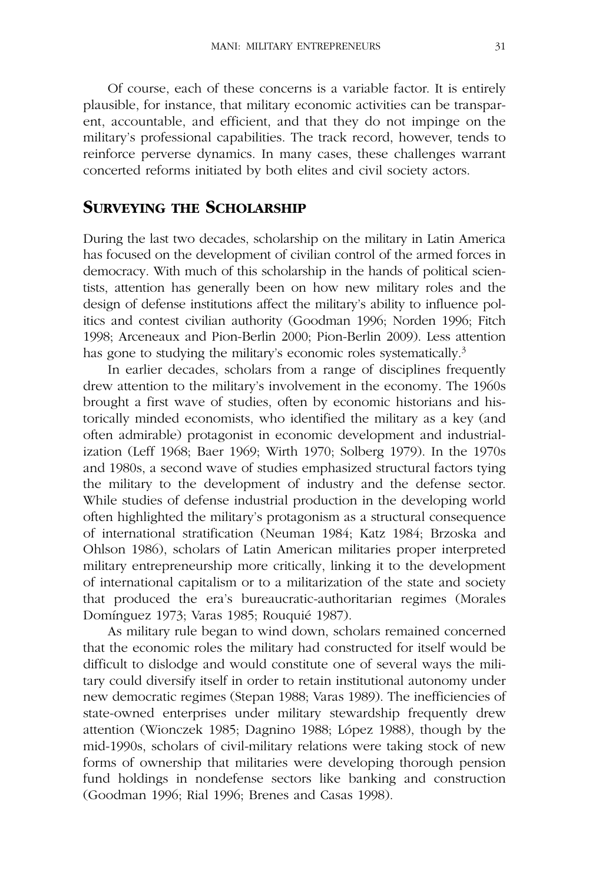Of course, each of these concerns is a variable factor. It is entirely plausible, for instance, that military economic activities can be transparent, accountable, and efficient, and that they do not impinge on the military's professional capabilities. The track record, however, tends to reinforce perverse dynamics. In many cases, these challenges warrant concerted reforms initiated by both elites and civil society actors.

#### **SURVEYING THE SCHOLARSHIP**

During the last two decades, scholarship on the military in Latin America has focused on the development of civilian control of the armed forces in democracy. With much of this scholarship in the hands of political scientists, attention has generally been on how new military roles and the design of defense institutions affect the military's ability to influence politics and contest civilian authority (Goodman 1996; Norden 1996; Fitch 1998; Arceneaux and Pion-Berlin 2000; Pion-Berlin 2009). Less attention has gone to studying the military's economic roles systematically.<sup>3</sup>

In earlier decades, scholars from a range of disciplines frequently drew attention to the military's involvement in the economy. The 1960s brought a first wave of studies, often by economic historians and historically minded economists, who identified the military as a key (and often admirable) protagonist in economic development and industrialization (Leff 1968; Baer 1969; Wirth 1970; Solberg 1979). In the 1970s and 1980s, a second wave of studies emphasized structural factors tying the military to the development of industry and the defense sector. While studies of defense industrial production in the developing world often highlighted the military's protagonism as a structural consequence of international stratification (Neuman 1984; Katz 1984; Brzoska and Ohlson 1986), scholars of Latin American militaries proper interpreted military entrepreneurship more critically, linking it to the development of international capitalism or to a militarization of the state and society that produced the era's bureaucratic-authoritarian regimes (Morales Domínguez 1973; Varas 1985; Rouquié 1987).

As military rule began to wind down, scholars remained concerned that the economic roles the military had constructed for itself would be difficult to dislodge and would constitute one of several ways the military could diversify itself in order to retain institutional autonomy under new democratic regimes (Stepan 1988; Varas 1989). The inefficiencies of state-owned enterprises under military stewardship frequently drew attention (Wionczek 1985; Dagnino 1988; López 1988), though by the mid-1990s, scholars of civil-military relations were taking stock of new forms of ownership that militaries were developing thorough pension fund holdings in nondefense sectors like banking and construction (Goodman 1996; Rial 1996; Brenes and Casas 1998).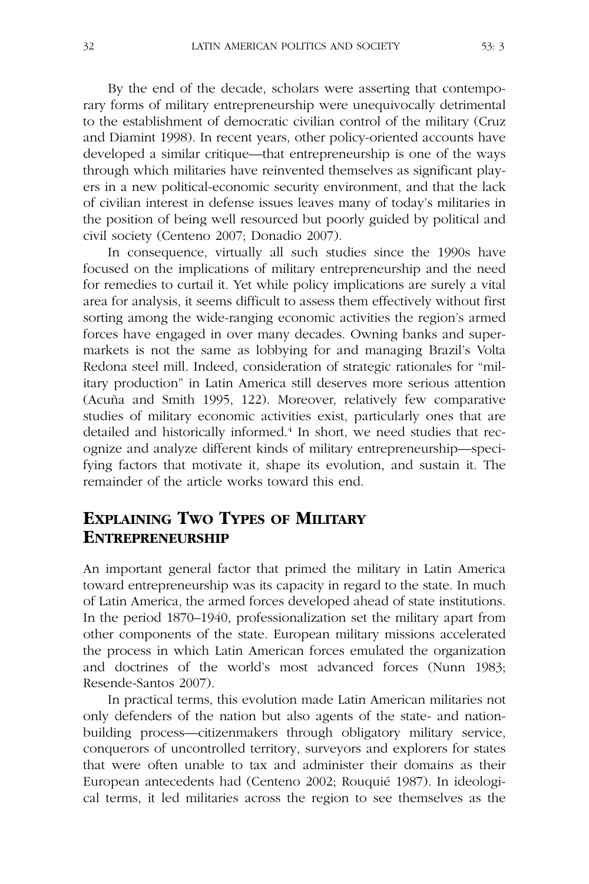By the end of the decade, scholars were asserting that contemporary forms of military entrepreneurship were unequivocally detrimental to the establishment of democratic civilian control of the military (Cruz and Diamint 1998). In recent years, other policy-oriented accounts have developed a similar critique—that entrepreneurship is one of the ways through which militaries have reinvented themselves as significant players in a new political-economic security environment, and that the lack of civilian interest in defense issues leaves many of today's militaries in the position of being well resourced but poorly guided by political and civil society (Centeno 2007; Donadio 2007).

In consequence, virtually all such studies since the 1990s have focused on the implications of military entrepreneurship and the need for remedies to curtail it. Yet while policy implications are surely a vital area for analysis, it seems difficult to assess them effectively without first sorting among the wide-ranging economic activities the region's armed forces have engaged in over many decades. Owning banks and supermarkets is not the same as lobbying for and managing Brazil's Volta Redona steel mill. Indeed, consideration of strategic rationales for "military production" in Latin America still deserves more serious attention (Acuña and Smith 1995, 122). Moreover, relatively few comparative studies of military economic activities exist, particularly ones that are detailed and historically informed.<sup>4</sup> In short, we need studies that recognize and analyze different kinds of military entrepreneurship—specifying factors that motivate it, shape its evolution, and sustain it. The remainder of the article works toward this end.

# **EXPLAINING TWO TYPES OF MILITARY ENTREPRENEURSHIP**

An important general factor that primed the military in Latin America toward entrepreneurship was its capacity in regard to the state. In much of Latin America, the armed forces developed ahead of state institutions. In the period 1870–1940, professionalization set the military apart from other components of the state. European military missions accelerated the process in which Latin American forces emulated the organization and doctrines of the world's most advanced forces (Nunn 1983; Resende-Santos 2007).

In practical terms, this evolution made Latin American militaries not only defenders of the nation but also agents of the state- and nationbuilding process—citizenmakers through obligatory military service, conquerors of uncontrolled territory, surveyors and explorers for states that were often unable to tax and administer their domains as their European antecedents had (Centeno 2002; Rouquié 1987). In ideological terms, it led militaries across the region to see themselves as the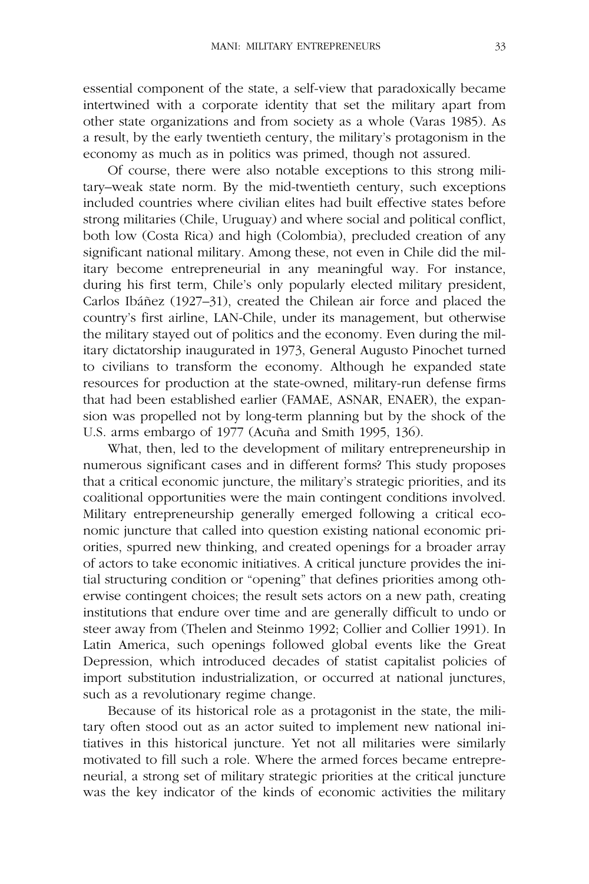essential component of the state, a self-view that paradoxically became intertwined with a corporate identity that set the military apart from other state organizations and from society as a whole (Varas 1985). As a result, by the early twentieth century, the military's protagonism in the economy as much as in politics was primed, though not assured.

Of course, there were also notable exceptions to this strong military–weak state norm. By the mid-twentieth century, such exceptions included countries where civilian elites had built effective states before strong militaries (Chile, Uruguay) and where social and political conflict, both low (Costa Rica) and high (Colombia), precluded creation of any significant national military. Among these, not even in Chile did the military become entrepreneurial in any meaningful way. For instance, during his first term, Chile's only popularly elected military president, Carlos Ibáñez (1927–31), created the Chilean air force and placed the country's first airline, LAN-Chile, under its management, but otherwise the military stayed out of politics and the economy. Even during the military dictatorship inaugurated in 1973, General Augusto Pinochet turned to civilians to transform the economy. Although he expanded state resources for production at the state-owned, military-run defense firms that had been established earlier (FAMAE, ASNAR, ENAER), the expansion was propelled not by long-term planning but by the shock of the U.S. arms embargo of 1977 (Acuña and Smith 1995, 136).

What, then, led to the development of military entrepreneurship in numerous significant cases and in different forms? This study proposes that a critical economic juncture, the military's strategic priorities, and its coalitional opportunities were the main contingent conditions involved. Military entrepreneurship generally emerged following a critical economic juncture that called into question existing national economic priorities, spurred new thinking, and created openings for a broader array of actors to take economic initiatives. A critical juncture provides the initial structuring condition or "opening" that defines priorities among otherwise contingent choices; the result sets actors on a new path, creating institutions that endure over time and are generally difficult to undo or steer away from (Thelen and Steinmo 1992; Collier and Collier 1991). In Latin America, such openings followed global events like the Great Depression, which introduced decades of statist capitalist policies of import substitution industrialization, or occurred at national junctures, such as a revolutionary regime change.

Because of its historical role as a protagonist in the state, the military often stood out as an actor suited to implement new national initiatives in this historical juncture. Yet not all militaries were similarly motivated to fill such a role. Where the armed forces became entrepreneurial, a strong set of military strategic priorities at the critical juncture was the key indicator of the kinds of economic activities the military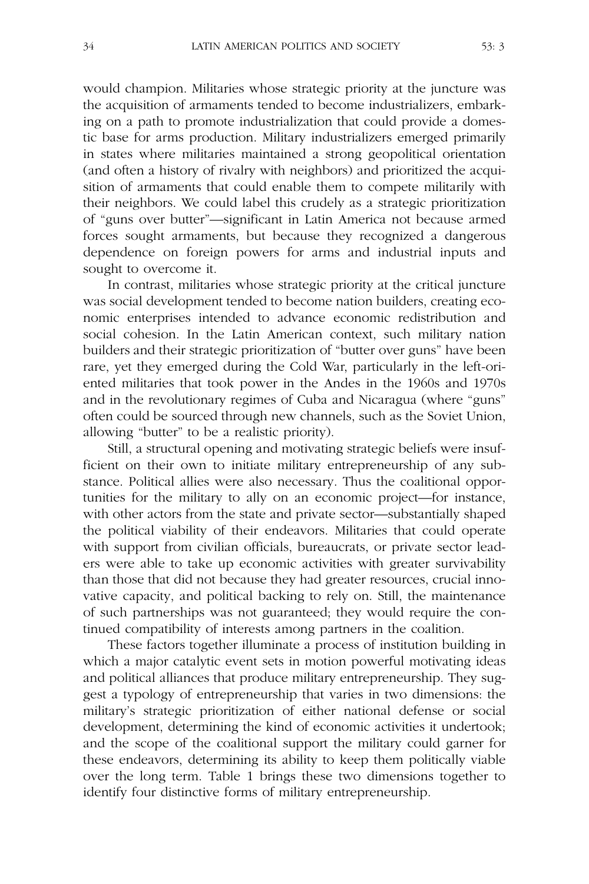would champion. Militaries whose strategic priority at the juncture was the acquisition of armaments tended to become industrializers, embarking on a path to promote industrialization that could provide a domestic base for arms production. Military industrializers emerged primarily in states where militaries maintained a strong geopolitical orientation (and often a history of rivalry with neighbors) and prioritized the acquisition of armaments that could enable them to compete militarily with their neighbors. We could label this crudely as a strategic prioritization of "guns over butter"—significant in Latin America not because armed forces sought armaments, but because they recognized a dangerous dependence on foreign powers for arms and industrial inputs and sought to overcome it.

In contrast, militaries whose strategic priority at the critical juncture was social development tended to become nation builders, creating economic enterprises intended to advance economic redistribution and social cohesion. In the Latin American context, such military nation builders and their strategic prioritization of "butter over guns" have been rare, yet they emerged during the Cold War, particularly in the left-oriented militaries that took power in the Andes in the 1960s and 1970s and in the revolutionary regimes of Cuba and Nicaragua (where "guns" often could be sourced through new channels, such as the Soviet Union, allowing "butter" to be a realistic priority).

Still, a structural opening and motivating strategic beliefs were insufficient on their own to initiate military entrepreneurship of any substance. Political allies were also necessary. Thus the coalitional opportunities for the military to ally on an economic project—for instance, with other actors from the state and private sector—substantially shaped the political viability of their endeavors. Militaries that could operate with support from civilian officials, bureaucrats, or private sector leaders were able to take up economic activities with greater survivability than those that did not because they had greater resources, crucial innovative capacity, and political backing to rely on. Still, the maintenance of such partnerships was not guaranteed; they would require the continued compatibility of interests among partners in the coalition.

These factors together illuminate a process of institution building in which a major catalytic event sets in motion powerful motivating ideas and political alliances that produce military entrepreneurship. They suggest a typology of entrepreneurship that varies in two dimensions: the military's strategic prioritization of either national defense or social development, determining the kind of economic activities it undertook; and the scope of the coalitional support the military could garner for these endeavors, determining its ability to keep them politically viable over the long term. Table 1 brings these two dimensions together to identify four distinctive forms of military entrepreneurship.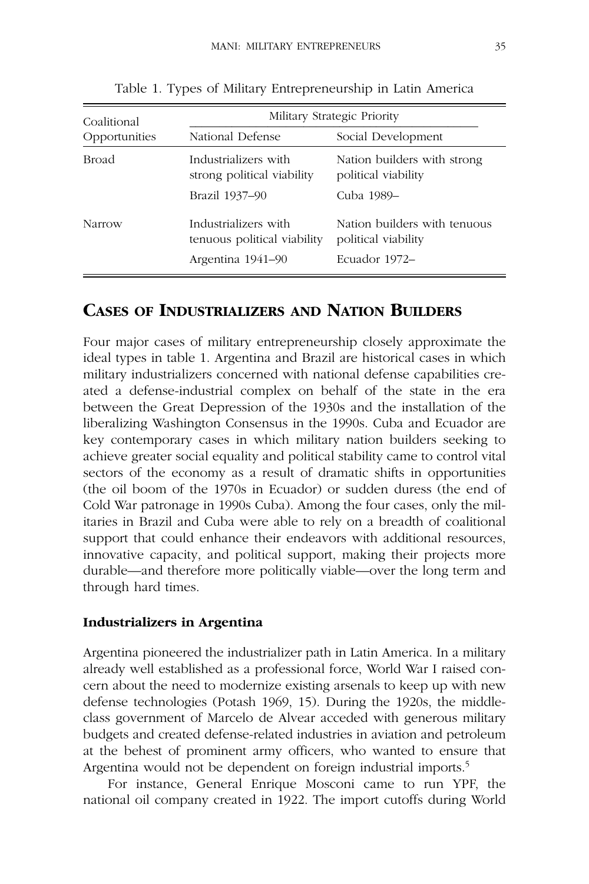| Coalitional<br>Opportunities | Military Strategic Priority                                              |                                                                      |
|------------------------------|--------------------------------------------------------------------------|----------------------------------------------------------------------|
|                              | National Defense                                                         | Social Development                                                   |
| Broad                        | Industrializers with<br>strong political viability                       | Nation builders with strong<br>political viability                   |
|                              | Brazil 1937-90                                                           | Cuba 1989–                                                           |
| Narrow                       | Industrializers with<br>tenuous political viability<br>Argentina 1941–90 | Nation builders with tenuous<br>political viability<br>Ecuador 1972– |

Table 1. Types of Military Entrepreneurship in Latin America

# **CASES OF INDUSTRIALIZERS AND NATION BUILDERS**

Four major cases of military entrepreneurship closely approximate the ideal types in table 1. Argentina and Brazil are historical cases in which military industrializers concerned with national defense capabilities created a defense-industrial complex on behalf of the state in the era between the Great Depression of the 1930s and the installation of the liberalizing Washington Consensus in the 1990s. Cuba and Ecuador are key contemporary cases in which military nation builders seeking to achieve greater social equality and political stability came to control vital sectors of the economy as a result of dramatic shifts in opportunities (the oil boom of the 1970s in Ecuador) or sudden duress (the end of Cold War patronage in 1990s Cuba). Among the four cases, only the militaries in Brazil and Cuba were able to rely on a breadth of coalitional support that could enhance their endeavors with additional resources, innovative capacity, and political support, making their projects more durable—and therefore more politically viable—over the long term and through hard times.

#### **Industrializers in Argentina**

Argentina pioneered the industrializer path in Latin America. In a military already well established as a professional force, World War I raised concern about the need to modernize existing arsenals to keep up with new defense technologies (Potash 1969, 15). During the 1920s, the middleclass government of Marcelo de Alvear acceded with generous military budgets and created defense-related industries in aviation and petroleum at the behest of prominent army officers, who wanted to ensure that Argentina would not be dependent on foreign industrial imports.<sup>5</sup>

For instance, General Enrique Mosconi came to run YPF, the national oil company created in 1922. The import cutoffs during World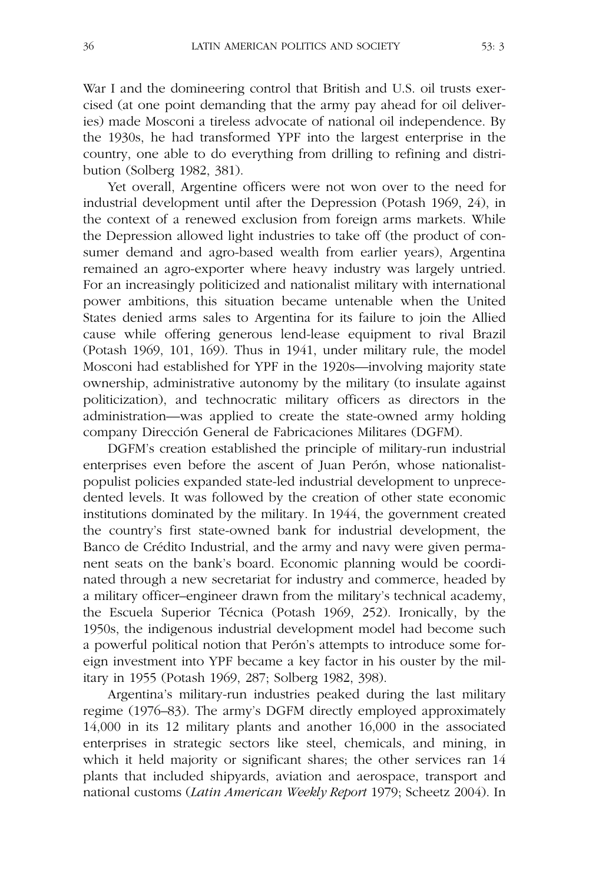War I and the domineering control that British and U.S. oil trusts exercised (at one point demanding that the army pay ahead for oil deliveries) made Mosconi a tireless advocate of national oil independence. By the 1930s, he had transformed YPF into the largest enterprise in the country, one able to do everything from drilling to refining and distribution (Solberg 1982, 381).

Yet overall, Argentine officers were not won over to the need for industrial development until after the Depression (Potash 1969, 24), in the context of a renewed exclusion from foreign arms markets. While the Depression allowed light industries to take off (the product of consumer demand and agro-based wealth from earlier years), Argentina remained an agro-exporter where heavy industry was largely untried. For an increasingly politicized and nationalist military with international power ambitions, this situation became untenable when the United States denied arms sales to Argentina for its failure to join the Allied cause while offering generous lend-lease equipment to rival Brazil (Potash 1969, 101, 169). Thus in 1941, under military rule, the model Mosconi had established for YPF in the 1920s—involving majority state ownership, administrative autonomy by the military (to insulate against politicization), and technocratic military officers as directors in the administration—was applied to create the state-owned army holding company Dirección General de Fabricaciones Militares (DGFM).

DGFM's creation established the principle of military-run industrial enterprises even before the ascent of Juan Perón, whose nationalistpopulist policies expanded state-led industrial development to unprecedented levels. It was followed by the creation of other state economic institutions dominated by the military. In 1944, the government created the country's first state-owned bank for industrial development, the Banco de Crédito Industrial, and the army and navy were given permanent seats on the bank's board. Economic planning would be coordinated through a new secretariat for industry and commerce, headed by a military officer–engineer drawn from the military's technical academy, the Escuela Superior Técnica (Potash 1969, 252). Ironically, by the 1950s, the indigenous industrial development model had become such a powerful political notion that Perón's attempts to introduce some foreign investment into YPF became a key factor in his ouster by the military in 1955 (Potash 1969, 287; Solberg 1982, 398).

Argentina's military-run industries peaked during the last military regime (1976–83). The army's DGFM directly employed approximately 14,000 in its 12 military plants and another 16,000 in the associated enterprises in strategic sectors like steel, chemicals, and mining, in which it held majority or significant shares; the other services ran 14 plants that included shipyards, aviation and aerospace, transport and national customs (*Latin American Weekly Report* 1979; Scheetz 2004). In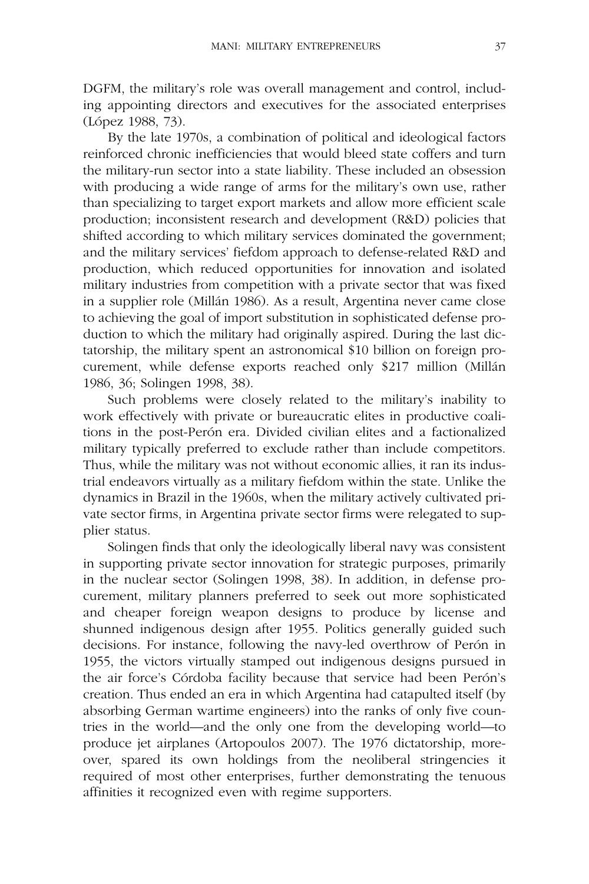DGFM, the military's role was overall management and control, including appointing directors and executives for the associated enterprises (López 1988, 73).

By the late 1970s, a combination of political and ideological factors reinforced chronic inefficiencies that would bleed state coffers and turn the military-run sector into a state liability. These included an obsession with producing a wide range of arms for the military's own use, rather than specializing to target export markets and allow more efficient scale production; inconsistent research and development (R&D) policies that shifted according to which military services dominated the government; and the military services' fiefdom approach to defense-related R&D and production, which reduced opportunities for innovation and isolated military industries from competition with a private sector that was fixed in a supplier role (Millán 1986). As a result, Argentina never came close to achieving the goal of import substitution in sophisticated defense production to which the military had originally aspired. During the last dictatorship, the military spent an astronomical \$10 billion on foreign procurement, while defense exports reached only \$217 million (Millán 1986, 36; Solingen 1998, 38).

Such problems were closely related to the military's inability to work effectively with private or bureaucratic elites in productive coalitions in the post-Perón era. Divided civilian elites and a factionalized military typically preferred to exclude rather than include competitors. Thus, while the military was not without economic allies, it ran its industrial endeavors virtually as a military fiefdom within the state. Unlike the dynamics in Brazil in the 1960s, when the military actively cultivated private sector firms, in Argentina private sector firms were relegated to supplier status.

Solingen finds that only the ideologically liberal navy was consistent in supporting private sector innovation for strategic purposes, primarily in the nuclear sector (Solingen 1998, 38). In addition, in defense procurement, military planners preferred to seek out more sophisticated and cheaper foreign weapon designs to produce by license and shunned indigenous design after 1955. Politics generally guided such decisions. For instance, following the navy-led overthrow of Perón in 1955, the victors virtually stamped out indigenous designs pursued in the air force's Córdoba facility because that service had been Perón's creation. Thus ended an era in which Argentina had catapulted itself (by absorbing German wartime engineers) into the ranks of only five countries in the world—and the only one from the developing world—to produce jet airplanes (Artopoulos 2007). The 1976 dictatorship, moreover, spared its own holdings from the neoliberal stringencies it required of most other enterprises, further demonstrating the tenuous affinities it recognized even with regime supporters.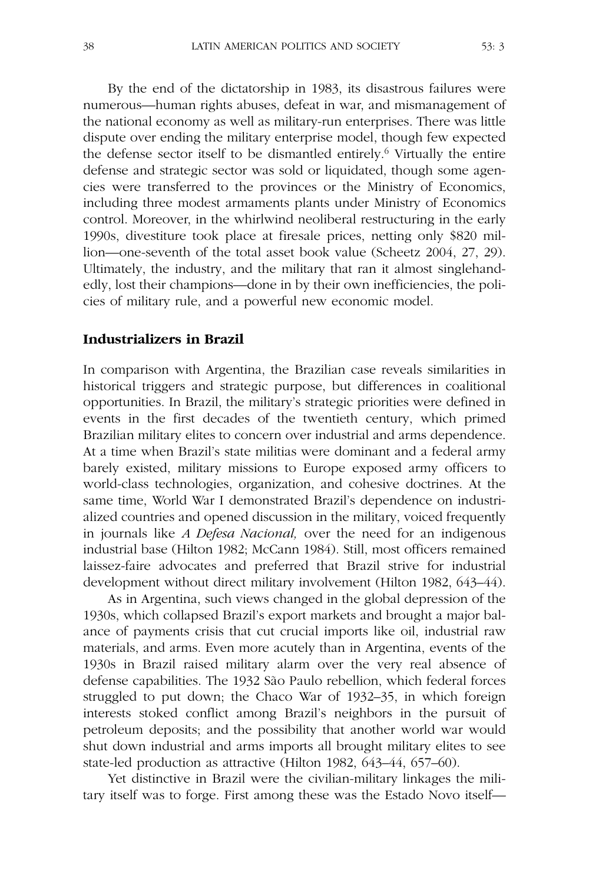By the end of the dictatorship in 1983, its disastrous failures were numerous—human rights abuses, defeat in war, and mismanagement of the national economy as well as military-run enterprises. There was little dispute over ending the military enterprise model, though few expected the defense sector itself to be dismantled entirely.<sup>6</sup> Virtually the entire defense and strategic sector was sold or liquidated, though some agencies were transferred to the provinces or the Ministry of Economics, including three modest armaments plants under Ministry of Economics control. Moreover, in the whirlwind neoliberal restructuring in the early 1990s, divestiture took place at firesale prices, netting only \$820 million—one-seventh of the total asset book value (Scheetz 2004, 27, 29). Ultimately, the industry, and the military that ran it almost singlehandedly, lost their champions—done in by their own inefficiencies, the policies of military rule, and a powerful new economic model.

#### **Industrializers in Brazil**

In comparison with Argentina, the Brazilian case reveals similarities in historical triggers and strategic purpose, but differences in coalitional opportunities. In Brazil, the military's strategic priorities were defined in events in the first decades of the twentieth century, which primed Brazilian military elites to concern over industrial and arms dependence. At a time when Brazil's state militias were dominant and a federal army barely existed, military missions to Europe exposed army officers to world-class technologies, organization, and cohesive doctrines. At the same time, World War I demonstrated Brazil's dependence on industrialized countries and opened discussion in the military, voiced frequently in journals like *A Defesa Nacional,* over the need for an indigenous industrial base (Hilton 1982; McCann 1984). Still, most officers remained laissez-faire advocates and preferred that Brazil strive for industrial development without direct military involvement (Hilton 1982, 643–44).

As in Argentina, such views changed in the global depression of the 1930s, which collapsed Brazil's export markets and brought a major balance of payments crisis that cut crucial imports like oil, industrial raw materials, and arms. Even more acutely than in Argentina, events of the 1930s in Brazil raised military alarm over the very real absence of defense capabilities. The 1932 São Paulo rebellion, which federal forces struggled to put down; the Chaco War of 1932–35, in which foreign interests stoked conflict among Brazil's neighbors in the pursuit of petroleum deposits; and the possibility that another world war would shut down industrial and arms imports all brought military elites to see state-led production as attractive (Hilton 1982, 643–44, 657–60).

Yet distinctive in Brazil were the civilian-military linkages the military itself was to forge. First among these was the Estado Novo itself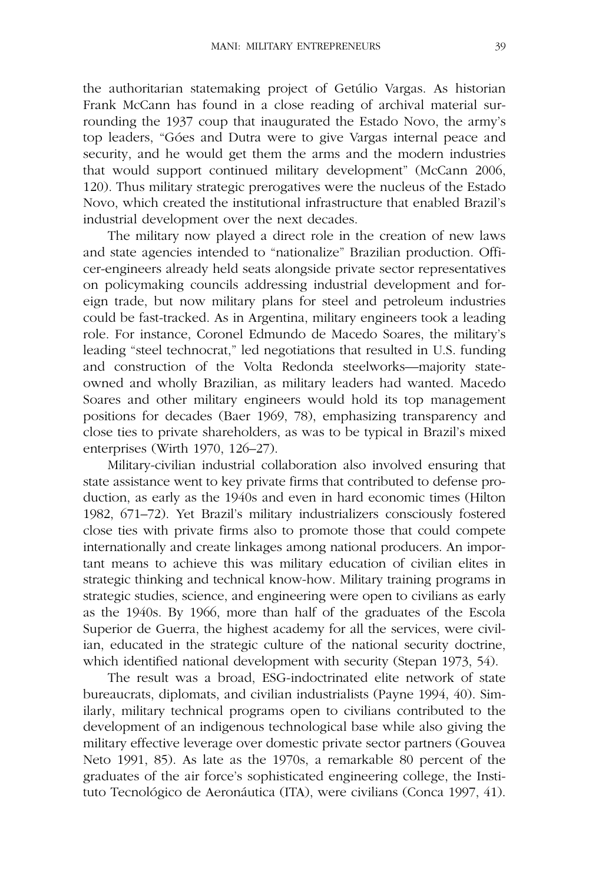the authoritarian statemaking project of Getúlio Vargas. As historian Frank McCann has found in a close reading of archival material surrounding the 1937 coup that inaugurated the Estado Novo, the army's top leaders, "Góes and Dutra were to give Vargas internal peace and security, and he would get them the arms and the modern industries that would support continued military development" (McCann 2006, 120). Thus military strategic prerogatives were the nucleus of the Estado Novo, which created the institutional infrastructure that enabled Brazil's industrial development over the next decades.

The military now played a direct role in the creation of new laws and state agencies intended to "nationalize" Brazilian production. Officer-engineers already held seats alongside private sector representatives on policymaking councils addressing industrial development and foreign trade, but now military plans for steel and petroleum industries could be fast-tracked. As in Argentina, military engineers took a leading role. For instance, Coronel Edmundo de Macedo Soares, the military's leading "steel technocrat," led negotiations that resulted in U.S. funding and construction of the Volta Redonda steelworks—majority stateowned and wholly Brazilian, as military leaders had wanted. Macedo Soares and other military engineers would hold its top management positions for decades (Baer 1969, 78), emphasizing transparency and close ties to private shareholders, as was to be typical in Brazil's mixed enterprises (Wirth 1970, 126–27).

Military-civilian industrial collaboration also involved ensuring that state assistance went to key private firms that contributed to defense production, as early as the 1940s and even in hard economic times (Hilton 1982, 671–72). Yet Brazil's military industrializers consciously fostered close ties with private firms also to promote those that could compete internationally and create linkages among national producers. An important means to achieve this was military education of civilian elites in strategic thinking and technical know-how. Military training programs in strategic studies, science, and engineering were open to civilians as early as the 1940s. By 1966, more than half of the graduates of the Escola Superior de Guerra, the highest academy for all the services, were civilian, educated in the strategic culture of the national security doctrine, which identified national development with security (Stepan 1973, 54).

The result was a broad, ESG-indoctrinated elite network of state bureaucrats, diplomats, and civilian industrialists (Payne 1994, 40). Similarly, military technical programs open to civilians contributed to the development of an indigenous technological base while also giving the military effective leverage over domestic private sector partners (Gouvea Neto 1991, 85). As late as the 1970s, a remarkable 80 percent of the graduates of the air force's sophisticated engineering college, the Instituto Tecnológico de Aeronáutica (ITA), were civilians (Conca 1997, 41).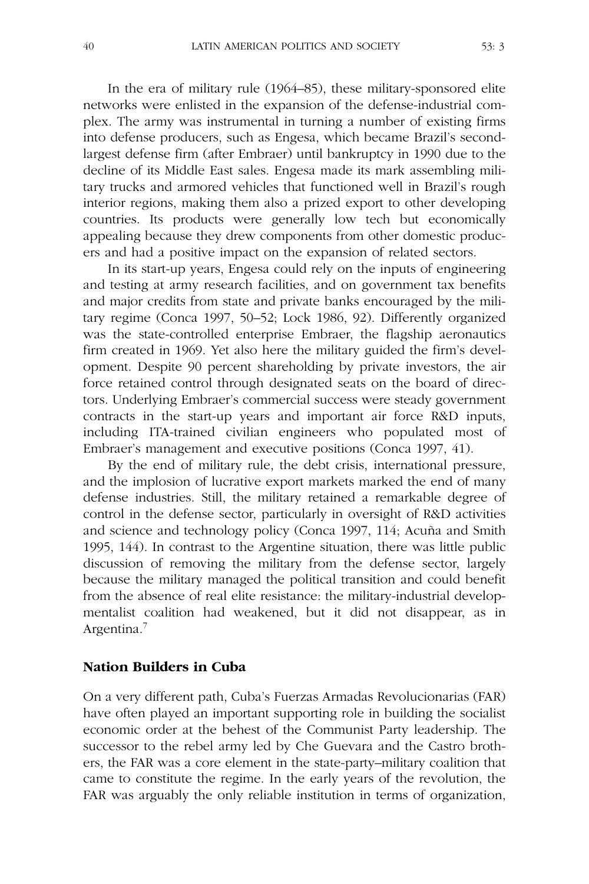In the era of military rule (1964–85), these military-sponsored elite networks were enlisted in the expansion of the defense-industrial complex. The army was instrumental in turning a number of existing firms into defense producers, such as Engesa, which became Brazil's secondlargest defense firm (after Embraer) until bankruptcy in 1990 due to the decline of its Middle East sales. Engesa made its mark assembling military trucks and armored vehicles that functioned well in Brazil's rough interior regions, making them also a prized export to other developing countries. Its products were generally low tech but economically appealing because they drew components from other domestic producers and had a positive impact on the expansion of related sectors.

In its start-up years, Engesa could rely on the inputs of engineering and testing at army research facilities, and on government tax benefits and major credits from state and private banks encouraged by the military regime (Conca 1997, 50–52; Lock 1986, 92). Differently organized was the state-controlled enterprise Embraer, the flagship aeronautics firm created in 1969. Yet also here the military guided the firm's development. Despite 90 percent shareholding by private investors, the air force retained control through designated seats on the board of directors. Underlying Embraer's commercial success were steady government contracts in the start-up years and important air force R&D inputs, including ITA-trained civilian engineers who populated most of Embraer's management and executive positions (Conca 1997, 41).

By the end of military rule, the debt crisis, international pressure, and the implosion of lucrative export markets marked the end of many defense industries. Still, the military retained a remarkable degree of control in the defense sector, particularly in oversight of R&D activities and science and technology policy (Conca 1997, 114; Acuña and Smith 1995, 144). In contrast to the Argentine situation, there was little public discussion of removing the military from the defense sector, largely because the military managed the political transition and could benefit from the absence of real elite resistance: the military-industrial developmentalist coalition had weakened, but it did not disappear, as in Argentina.7

#### **Nation Builders in Cuba**

On a very different path, Cuba's Fuerzas Armadas Revolucionarias (FAR) have often played an important supporting role in building the socialist economic order at the behest of the Communist Party leadership. The successor to the rebel army led by Che Guevara and the Castro brothers, the FAR was a core element in the state-party–military coalition that came to constitute the regime. In the early years of the revolution, the FAR was arguably the only reliable institution in terms of organization,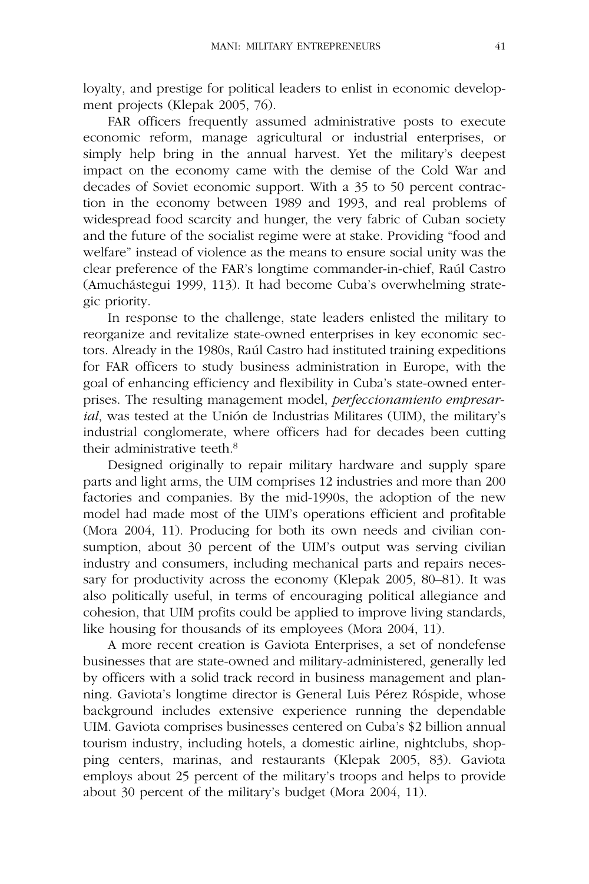loyalty, and prestige for political leaders to enlist in economic development projects (Klepak 2005, 76).

FAR officers frequently assumed administrative posts to execute economic reform, manage agricultural or industrial enterprises, or simply help bring in the annual harvest. Yet the military's deepest impact on the economy came with the demise of the Cold War and decades of Soviet economic support. With a 35 to 50 percent contraction in the economy between 1989 and 1993, and real problems of widespread food scarcity and hunger, the very fabric of Cuban society and the future of the socialist regime were at stake. Providing "food and welfare" instead of violence as the means to ensure social unity was the clear preference of the FAR's longtime commander-in-chief, Raúl Castro (Amuchástegui 1999, 113). It had become Cuba's overwhelming strategic priority.

In response to the challenge, state leaders enlisted the military to reorganize and revitalize state-owned enterprises in key economic sectors. Already in the 1980s, Raúl Castro had instituted training expeditions for FAR officers to study business administration in Europe, with the goal of enhancing efficiency and flexibility in Cuba's state-owned enterprises. The resulting management model, *perfeccionamiento empresarial*, was tested at the Unión de Industrias Militares (UIM), the military's industrial conglomerate, where officers had for decades been cutting their administrative teeth.<sup>8</sup>

Designed originally to repair military hardware and supply spare parts and light arms, the UIM comprises 12 industries and more than 200 factories and companies. By the mid-1990s, the adoption of the new model had made most of the UIM's operations efficient and profitable (Mora 2004, 11). Producing for both its own needs and civilian consumption, about 30 percent of the UIM's output was serving civilian industry and consumers, including mechanical parts and repairs necessary for productivity across the economy (Klepak 2005, 80–81). It was also politically useful, in terms of encouraging political allegiance and cohesion, that UIM profits could be applied to improve living standards, like housing for thousands of its employees (Mora 2004, 11).

A more recent creation is Gaviota Enterprises, a set of nondefense businesses that are state-owned and military-administered, generally led by officers with a solid track record in business management and planning. Gaviota's longtime director is General Luis Pérez Róspide, whose background includes extensive experience running the dependable UIM. Gaviota comprises businesses centered on Cuba's \$2 billion annual tourism industry, including hotels, a domestic airline, nightclubs, shopping centers, marinas, and restaurants (Klepak 2005, 83). Gaviota employs about 25 percent of the military's troops and helps to provide about 30 percent of the military's budget (Mora 2004, 11).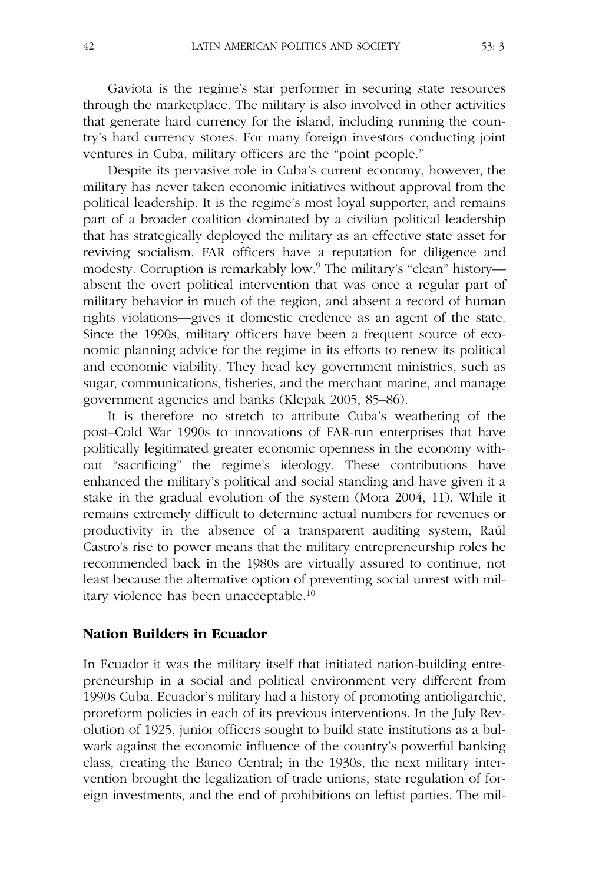Gaviota is the regime's star performer in securing state resources through the marketplace. The military is also involved in other activities that generate hard currency for the island, including running the country's hard currency stores. For many foreign investors conducting joint ventures in Cuba, military officers are the "point people."

Despite its pervasive role in Cuba's current economy, however, the military has never taken economic initiatives without approval from the political leadership. It is the regime's most loyal supporter, and remains part of a broader coalition dominated by a civilian political leadership that has strategically deployed the military as an effective state asset for reviving socialism. FAR officers have a reputation for diligence and modesty. Corruption is remarkably low.9 The military's "clean" history absent the overt political intervention that was once a regular part of military behavior in much of the region, and absent a record of human rights violations—gives it domestic credence as an agent of the state. Since the 1990s, military officers have been a frequent source of economic planning advice for the regime in its efforts to renew its political and economic viability. They head key government ministries, such as sugar, communications, fisheries, and the merchant marine, and manage government agencies and banks (Klepak 2005, 85–86).

It is therefore no stretch to attribute Cuba's weathering of the post–Cold War 1990s to innovations of FAR-run enterprises that have politically legitimated greater economic openness in the economy without "sacrificing" the regime's ideology. These contributions have enhanced the military's political and social standing and have given it a stake in the gradual evolution of the system (Mora 2004, 11). While it remains extremely difficult to determine actual numbers for revenues or productivity in the absence of a transparent auditing system, Raúl Castro's rise to power means that the military entrepreneurship roles he recommended back in the 1980s are virtually assured to continue, not least because the alternative option of preventing social unrest with military violence has been unacceptable.10

#### **Nation Builders in Ecuador**

In Ecuador it was the military itself that initiated nation-building entrepreneurship in a social and political environment very different from 1990s Cuba. Ecuador's military had a history of promoting antioligarchic, proreform policies in each of its previous interventions. In the July Revolution of 1925, junior officers sought to build state institutions as a bulwark against the economic influence of the country's powerful banking class, creating the Banco Central; in the 1930s, the next military intervention brought the legalization of trade unions, state regulation of foreign investments, and the end of prohibitions on leftist parties. The mil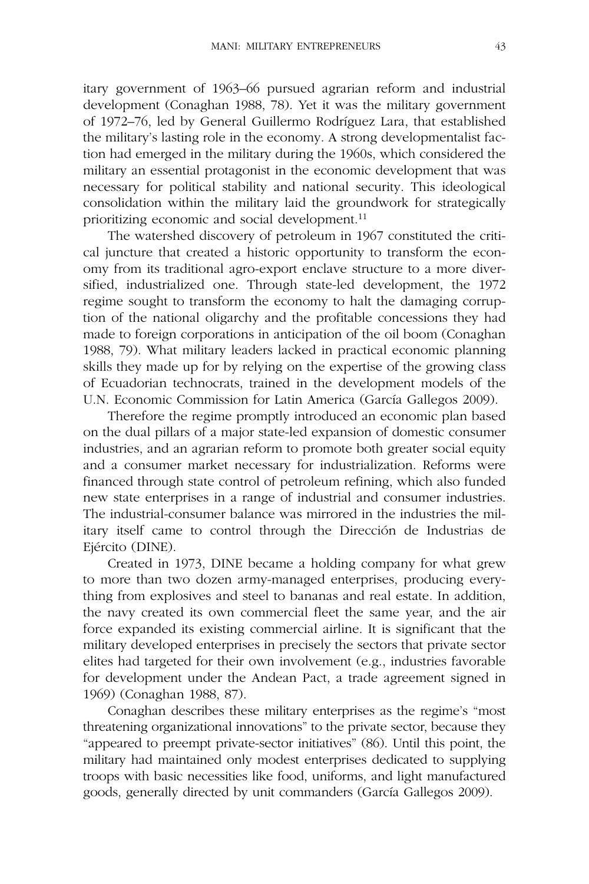itary government of 1963–66 pursued agrarian reform and industrial development (Conaghan 1988, 78). Yet it was the military government of 1972–76, led by General Guillermo Rodríguez Lara, that established the military's lasting role in the economy. A strong developmentalist faction had emerged in the military during the 1960s, which considered the military an essential protagonist in the economic development that was necessary for political stability and national security. This ideological consolidation within the military laid the groundwork for strategically prioritizing economic and social development.<sup>11</sup>

The watershed discovery of petroleum in 1967 constituted the critical juncture that created a historic opportunity to transform the economy from its traditional agro-export enclave structure to a more diversified, industrialized one. Through state-led development, the 1972 regime sought to transform the economy to halt the damaging corruption of the national oligarchy and the profitable concessions they had made to foreign corporations in anticipation of the oil boom (Conaghan 1988, 79). What military leaders lacked in practical economic planning skills they made up for by relying on the expertise of the growing class of Ecuadorian technocrats, trained in the development models of the U.N. Economic Commission for Latin America (García Gallegos 2009).

Therefore the regime promptly introduced an economic plan based on the dual pillars of a major state-led expansion of domestic consumer industries, and an agrarian reform to promote both greater social equity and a consumer market necessary for industrialization. Reforms were financed through state control of petroleum refining, which also funded new state enterprises in a range of industrial and consumer industries. The industrial-consumer balance was mirrored in the industries the military itself came to control through the Dirección de Industrias de Ejército (DINE).

Created in 1973, DINE became a holding company for what grew to more than two dozen army-managed enterprises, producing everything from explosives and steel to bananas and real estate. In addition, the navy created its own commercial fleet the same year, and the air force expanded its existing commercial airline. It is significant that the military developed enterprises in precisely the sectors that private sector elites had targeted for their own involvement (e.g., industries favorable for development under the Andean Pact, a trade agreement signed in 1969) (Conaghan 1988, 87).

Conaghan describes these military enterprises as the regime's "most threatening organizational innovations" to the private sector, because they "appeared to preempt private-sector initiatives" (86). Until this point, the military had maintained only modest enterprises dedicated to supplying troops with basic necessities like food, uniforms, and light manufactured goods, generally directed by unit commanders (García Gallegos 2009).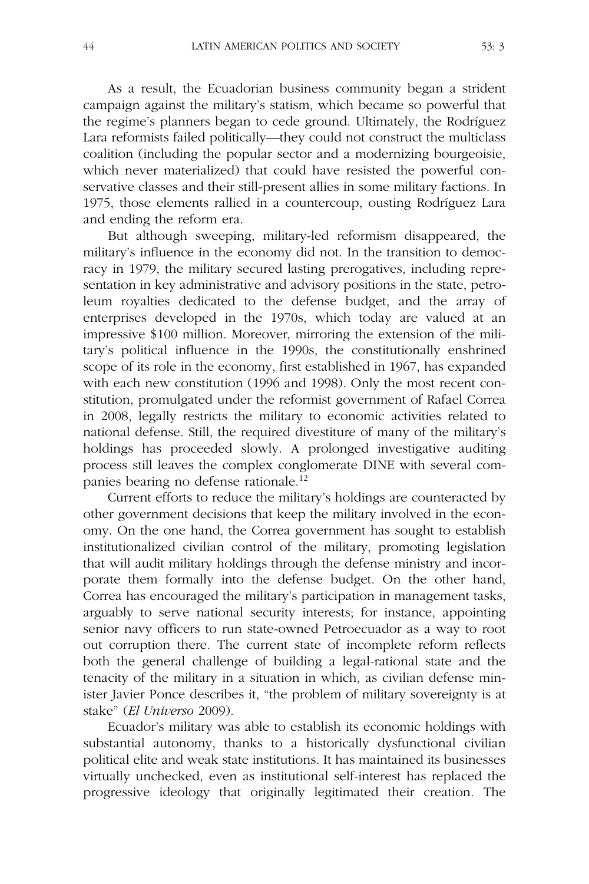As a result, the Ecuadorian business community began a strident campaign against the military's statism, which became so powerful that the regime's planners began to cede ground. Ultimately, the Rodríguez Lara reformists failed politically—they could not construct the multiclass coalition (including the popular sector and a modernizing bourgeoisie, which never materialized) that could have resisted the powerful conservative classes and their still-present allies in some military factions. In 1975, those elements rallied in a countercoup, ousting Rodríguez Lara and ending the reform era.

But although sweeping, military-led reformism disappeared, the military's influence in the economy did not. In the transition to democracy in 1979, the military secured lasting prerogatives, including representation in key administrative and advisory positions in the state, petroleum royalties dedicated to the defense budget, and the array of enterprises developed in the 1970s, which today are valued at an impressive \$100 million. Moreover, mirroring the extension of the military's political influence in the 1990s, the constitutionally enshrined scope of its role in the economy, first established in 1967, has expanded with each new constitution (1996 and 1998). Only the most recent constitution, promulgated under the reformist government of Rafael Correa in 2008, legally restricts the military to economic activities related to national defense. Still, the required divestiture of many of the military's holdings has proceeded slowly. A prolonged investigative auditing process still leaves the complex conglomerate DINE with several companies bearing no defense rationale.<sup>12</sup>

Current efforts to reduce the military's holdings are counteracted by other government decisions that keep the military involved in the economy. On the one hand, the Correa government has sought to establish institutionalized civilian control of the military, promoting legislation that will audit military holdings through the defense ministry and incorporate them formally into the defense budget. On the other hand, Correa has encouraged the military's participation in management tasks, arguably to serve national security interests; for instance, appointing senior navy officers to run state-owned Petroecuador as a way to root out corruption there. The current state of incomplete reform reflects both the general challenge of building a legal-rational state and the tenacity of the military in a situation in which, as civilian defense minister Javier Ponce describes it, "the problem of military sovereignty is at stake" (*El Universo* 2009).

Ecuador's military was able to establish its economic holdings with substantial autonomy, thanks to a historically dysfunctional civilian political elite and weak state institutions. It has maintained its businesses virtually unchecked, even as institutional self-interest has replaced the progressive ideology that originally legitimated their creation. The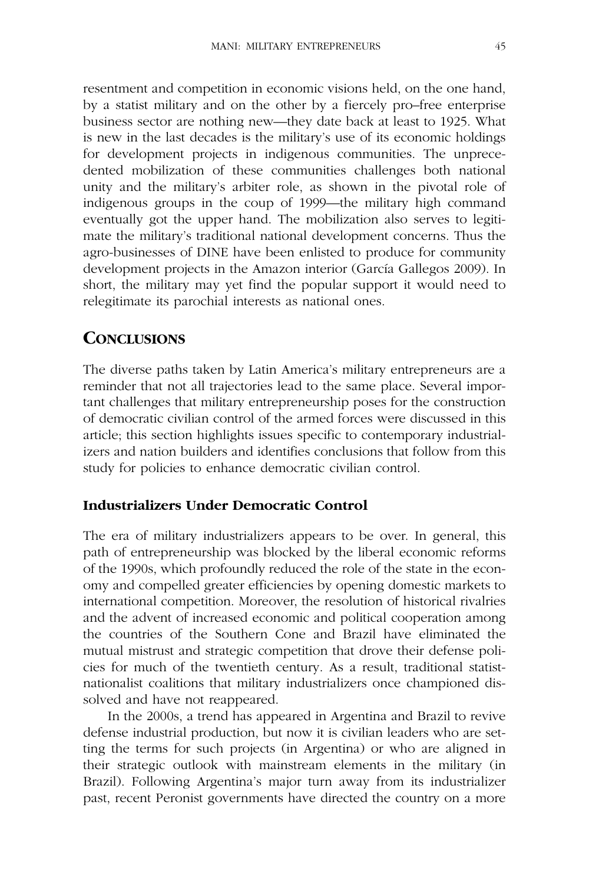resentment and competition in economic visions held, on the one hand, by a statist military and on the other by a fiercely pro–free enterprise business sector are nothing new—they date back at least to 1925. What is new in the last decades is the military's use of its economic holdings for development projects in indigenous communities. The unprecedented mobilization of these communities challenges both national unity and the military's arbiter role, as shown in the pivotal role of indigenous groups in the coup of 1999—the military high command eventually got the upper hand. The mobilization also serves to legitimate the military's traditional national development concerns. Thus the agro-businesses of DINE have been enlisted to produce for community development projects in the Amazon interior (García Gallegos 2009). In short, the military may yet find the popular support it would need to relegitimate its parochial interests as national ones.

# **CONCLUSIONS**

The diverse paths taken by Latin America's military entrepreneurs are a reminder that not all trajectories lead to the same place. Several important challenges that military entrepreneurship poses for the construction of democratic civilian control of the armed forces were discussed in this article; this section highlights issues specific to contemporary industrializers and nation builders and identifies conclusions that follow from this study for policies to enhance democratic civilian control.

### **Industrializers Under Democratic Control**

The era of military industrializers appears to be over. In general, this path of entrepreneurship was blocked by the liberal economic reforms of the 1990s, which profoundly reduced the role of the state in the economy and compelled greater efficiencies by opening domestic markets to international competition. Moreover, the resolution of historical rivalries and the advent of increased economic and political cooperation among the countries of the Southern Cone and Brazil have eliminated the mutual mistrust and strategic competition that drove their defense policies for much of the twentieth century. As a result, traditional statistnationalist coalitions that military industrializers once championed dissolved and have not reappeared.

In the 2000s, a trend has appeared in Argentina and Brazil to revive defense industrial production, but now it is civilian leaders who are setting the terms for such projects (in Argentina) or who are aligned in their strategic outlook with mainstream elements in the military (in Brazil). Following Argentina's major turn away from its industrializer past, recent Peronist governments have directed the country on a more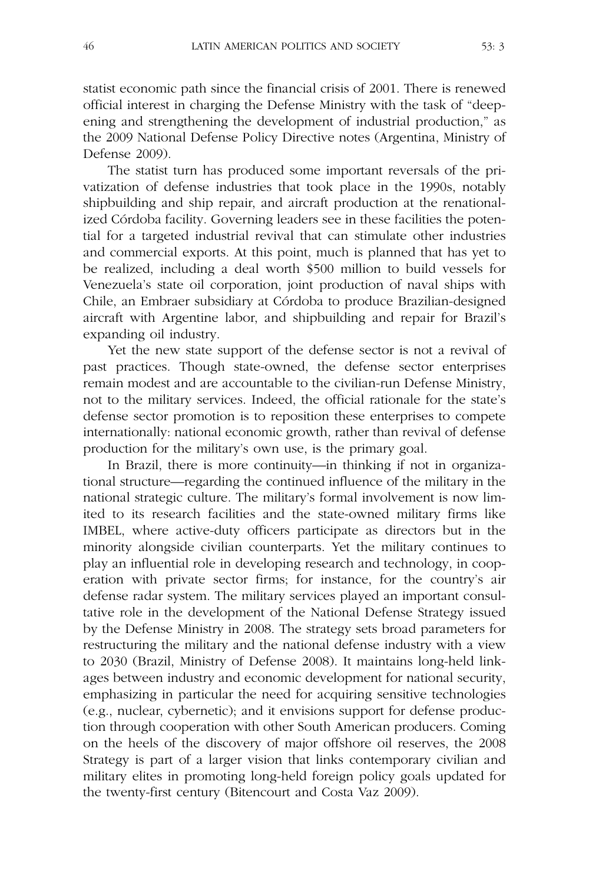statist economic path since the financial crisis of 2001. There is renewed official interest in charging the Defense Ministry with the task of "deepening and strengthening the development of industrial production," as the 2009 National Defense Policy Directive notes (Argentina, Ministry of Defense 2009).

The statist turn has produced some important reversals of the privatization of defense industries that took place in the 1990s, notably shipbuilding and ship repair, and aircraft production at the renationalized Córdoba facility. Governing leaders see in these facilities the potential for a targeted industrial revival that can stimulate other industries and commercial exports. At this point, much is planned that has yet to be realized, including a deal worth \$500 million to build vessels for Venezuela's state oil corporation, joint production of naval ships with Chile, an Embraer subsidiary at Córdoba to produce Brazilian-designed aircraft with Argentine labor, and shipbuilding and repair for Brazil's expanding oil industry.

Yet the new state support of the defense sector is not a revival of past practices. Though state-owned, the defense sector enterprises remain modest and are accountable to the civilian-run Defense Ministry, not to the military services. Indeed, the official rationale for the state's defense sector promotion is to reposition these enterprises to compete internationally: national economic growth, rather than revival of defense production for the military's own use, is the primary goal.

In Brazil, there is more continuity—in thinking if not in organizational structure—regarding the continued influence of the military in the national strategic culture. The military's formal involvement is now limited to its research facilities and the state-owned military firms like IMBEL, where active-duty officers participate as directors but in the minority alongside civilian counterparts. Yet the military continues to play an influential role in developing research and technology, in cooperation with private sector firms; for instance, for the country's air defense radar system. The military services played an important consultative role in the development of the National Defense Strategy issued by the Defense Ministry in 2008. The strategy sets broad parameters for restructuring the military and the national defense industry with a view to 2030 (Brazil, Ministry of Defense 2008). It maintains long-held linkages between industry and economic development for national security, emphasizing in particular the need for acquiring sensitive technologies (e.g., nuclear, cybernetic); and it envisions support for defense production through cooperation with other South American producers. Coming on the heels of the discovery of major offshore oil reserves, the 2008 Strategy is part of a larger vision that links contemporary civilian and military elites in promoting long-held foreign policy goals updated for the twenty-first century (Bitencourt and Costa Vaz 2009).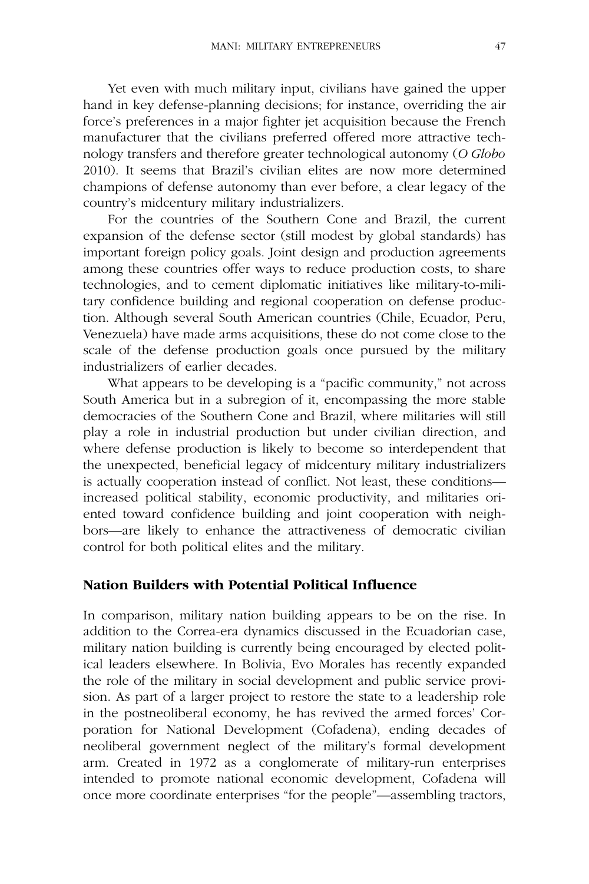Yet even with much military input, civilians have gained the upper hand in key defense-planning decisions; for instance, overriding the air force's preferences in a major fighter jet acquisition because the French manufacturer that the civilians preferred offered more attractive technology transfers and therefore greater technological autonomy (*O Globo* 2010). It seems that Brazil's civilian elites are now more determined champions of defense autonomy than ever before, a clear legacy of the country's midcentury military industrializers.

For the countries of the Southern Cone and Brazil, the current expansion of the defense sector (still modest by global standards) has important foreign policy goals. Joint design and production agreements among these countries offer ways to reduce production costs, to share technologies, and to cement diplomatic initiatives like military-to-military confidence building and regional cooperation on defense production. Although several South American countries (Chile, Ecuador, Peru, Venezuela) have made arms acquisitions, these do not come close to the scale of the defense production goals once pursued by the military industrializers of earlier decades.

What appears to be developing is a "pacific community," not across South America but in a subregion of it, encompassing the more stable democracies of the Southern Cone and Brazil, where militaries will still play a role in industrial production but under civilian direction, and where defense production is likely to become so interdependent that the unexpected, beneficial legacy of midcentury military industrializers is actually cooperation instead of conflict. Not least, these conditions increased political stability, economic productivity, and militaries oriented toward confidence building and joint cooperation with neighbors—are likely to enhance the attractiveness of democratic civilian control for both political elites and the military.

#### **Nation Builders with Potential Political Influence**

In comparison, military nation building appears to be on the rise. In addition to the Correa-era dynamics discussed in the Ecuadorian case, military nation building is currently being encouraged by elected political leaders elsewhere. In Bolivia, Evo Morales has recently expanded the role of the military in social development and public service provision. As part of a larger project to restore the state to a leadership role in the postneoliberal economy, he has revived the armed forces' Corporation for National Development (Cofadena), ending decades of neoliberal government neglect of the military's formal development arm. Created in 1972 as a conglomerate of military-run enterprises intended to promote national economic development, Cofadena will once more coordinate enterprises "for the people"—assembling tractors,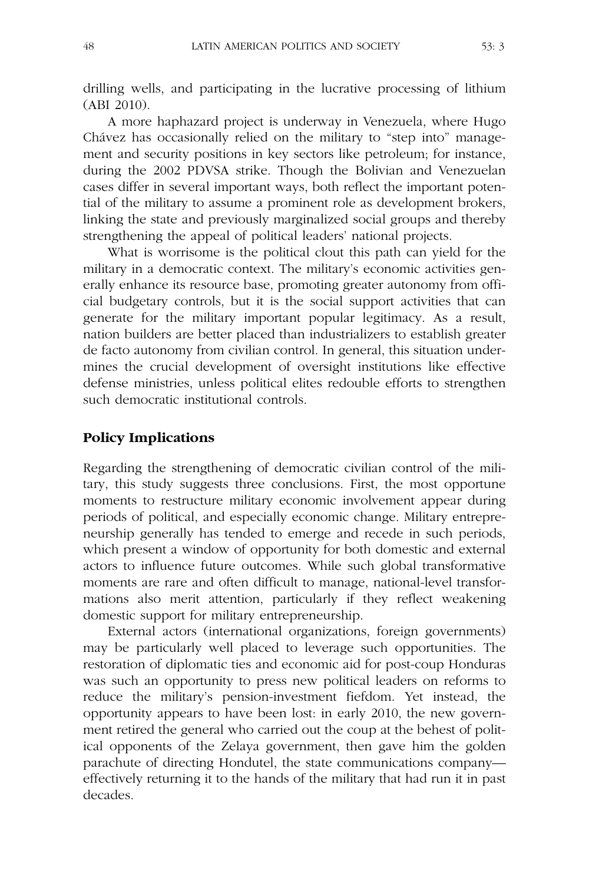drilling wells, and participating in the lucrative processing of lithium (ABI 2010).

A more haphazard project is underway in Venezuela, where Hugo Chávez has occasionally relied on the military to "step into" management and security positions in key sectors like petroleum; for instance, during the 2002 PDVSA strike. Though the Bolivian and Venezuelan cases differ in several important ways, both reflect the important potential of the military to assume a prominent role as development brokers, linking the state and previously marginalized social groups and thereby strengthening the appeal of political leaders' national projects.

What is worrisome is the political clout this path can yield for the military in a democratic context. The military's economic activities generally enhance its resource base, promoting greater autonomy from official budgetary controls, but it is the social support activities that can generate for the military important popular legitimacy. As a result, nation builders are better placed than industrializers to establish greater de facto autonomy from civilian control. In general, this situation undermines the crucial development of oversight institutions like effective defense ministries, unless political elites redouble efforts to strengthen such democratic institutional controls.

#### **Policy Implications**

Regarding the strengthening of democratic civilian control of the military, this study suggests three conclusions. First, the most opportune moments to restructure military economic involvement appear during periods of political, and especially economic change. Military entrepreneurship generally has tended to emerge and recede in such periods, which present a window of opportunity for both domestic and external actors to influence future outcomes. While such global transformative moments are rare and often difficult to manage, national-level transformations also merit attention, particularly if they reflect weakening domestic support for military entrepreneurship.

External actors (international organizations, foreign governments) may be particularly well placed to leverage such opportunities. The restoration of diplomatic ties and economic aid for post-coup Honduras was such an opportunity to press new political leaders on reforms to reduce the military's pension-investment fiefdom. Yet instead, the opportunity appears to have been lost: in early 2010, the new government retired the general who carried out the coup at the behest of political opponents of the Zelaya government, then gave him the golden parachute of directing Hondutel, the state communications company effectively returning it to the hands of the military that had run it in past decades.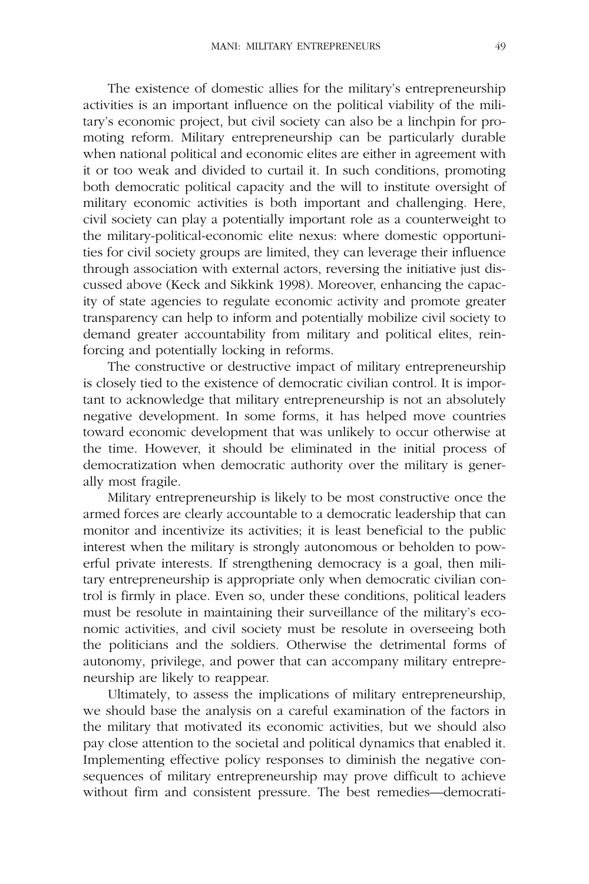The existence of domestic allies for the military's entrepreneurship activities is an important influence on the political viability of the military's economic project, but civil society can also be a linchpin for promoting reform. Military entrepreneurship can be particularly durable when national political and economic elites are either in agreement with it or too weak and divided to curtail it. In such conditions, promoting both democratic political capacity and the will to institute oversight of military economic activities is both important and challenging. Here, civil society can play a potentially important role as a counterweight to the military-political-economic elite nexus: where domestic opportunities for civil society groups are limited, they can leverage their influence through association with external actors, reversing the initiative just discussed above (Keck and Sikkink 1998). Moreover, enhancing the capacity of state agencies to regulate economic activity and promote greater transparency can help to inform and potentially mobilize civil society to demand greater accountability from military and political elites, reinforcing and potentially locking in reforms.

The constructive or destructive impact of military entrepreneurship is closely tied to the existence of democratic civilian control. It is important to acknowledge that military entrepreneurship is not an absolutely negative development. In some forms, it has helped move countries toward economic development that was unlikely to occur otherwise at the time. However, it should be eliminated in the initial process of democratization when democratic authority over the military is generally most fragile.

Military entrepreneurship is likely to be most constructive once the armed forces are clearly accountable to a democratic leadership that can monitor and incentivize its activities; it is least beneficial to the public interest when the military is strongly autonomous or beholden to powerful private interests. If strengthening democracy is a goal, then military entrepreneurship is appropriate only when democratic civilian control is firmly in place. Even so, under these conditions, political leaders must be resolute in maintaining their surveillance of the military's economic activities, and civil society must be resolute in overseeing both the politicians and the soldiers. Otherwise the detrimental forms of autonomy, privilege, and power that can accompany military entrepreneurship are likely to reappear.

Ultimately, to assess the implications of military entrepreneurship, we should base the analysis on a careful examination of the factors in the military that motivated its economic activities, but we should also pay close attention to the societal and political dynamics that enabled it. Implementing effective policy responses to diminish the negative consequences of military entrepreneurship may prove difficult to achieve without firm and consistent pressure. The best remedies—democrati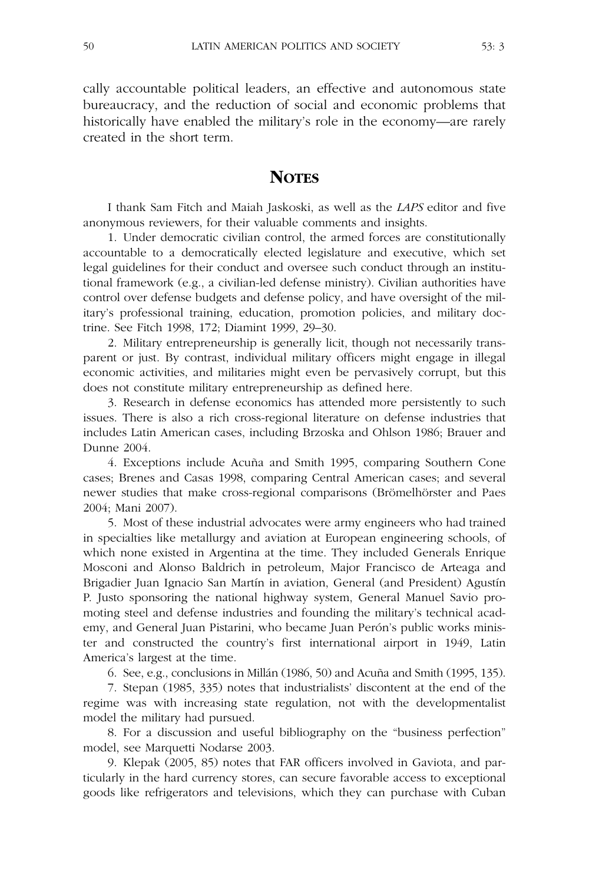cally accountable political leaders, an effective and autonomous state bureaucracy, and the reduction of social and economic problems that historically have enabled the military's role in the economy—are rarely created in the short term.

## **NOTES**

I thank Sam Fitch and Maiah Jaskoski, as well as the *LAPS* editor and five anonymous reviewers, for their valuable comments and insights.

1. Under democratic civilian control, the armed forces are constitutionally accountable to a democratically elected legislature and executive, which set legal guidelines for their conduct and oversee such conduct through an institutional framework (e.g., a civilian-led defense ministry). Civilian authorities have control over defense budgets and defense policy, and have oversight of the military's professional training, education, promotion policies, and military doctrine. See Fitch 1998, 172; Diamint 1999, 29–30.

2. Military entrepreneurship is generally licit, though not necessarily transparent or just. By contrast, individual military officers might engage in illegal economic activities, and militaries might even be pervasively corrupt, but this does not constitute military entrepreneurship as defined here.

3. Research in defense economics has attended more persistently to such issues. There is also a rich cross-regional literature on defense industries that includes Latin American cases, including Brzoska and Ohlson 1986; Brauer and Dunne 2004.

4. Exceptions include Acuña and Smith 1995, comparing Southern Cone cases; Brenes and Casas 1998, comparing Central American cases; and several newer studies that make cross-regional comparisons (Brömelhörster and Paes 2004; Mani 2007).

5. Most of these industrial advocates were army engineers who had trained in specialties like metallurgy and aviation at European engineering schools, of which none existed in Argentina at the time. They included Generals Enrique Mosconi and Alonso Baldrich in petroleum, Major Francisco de Arteaga and Brigadier Juan Ignacio San Martín in aviation, General (and President) Agustín P. Justo sponsoring the national highway system, General Manuel Savio promoting steel and defense industries and founding the military's technical academy, and General Juan Pistarini, who became Juan Perón's public works minister and constructed the country's first international airport in 1949, Latin America's largest at the time.

6. See, e.g., conclusions in Millán (1986, 50) and Acuña and Smith (1995, 135).

7. Stepan (1985, 335) notes that industrialists' discontent at the end of the regime was with increasing state regulation, not with the developmentalist model the military had pursued.

8. For a discussion and useful bibliography on the "business perfection" model, see Marquetti Nodarse 2003.

9. Klepak (2005, 85) notes that FAR officers involved in Gaviota, and particularly in the hard currency stores, can secure favorable access to exceptional goods like refrigerators and televisions, which they can purchase with Cuban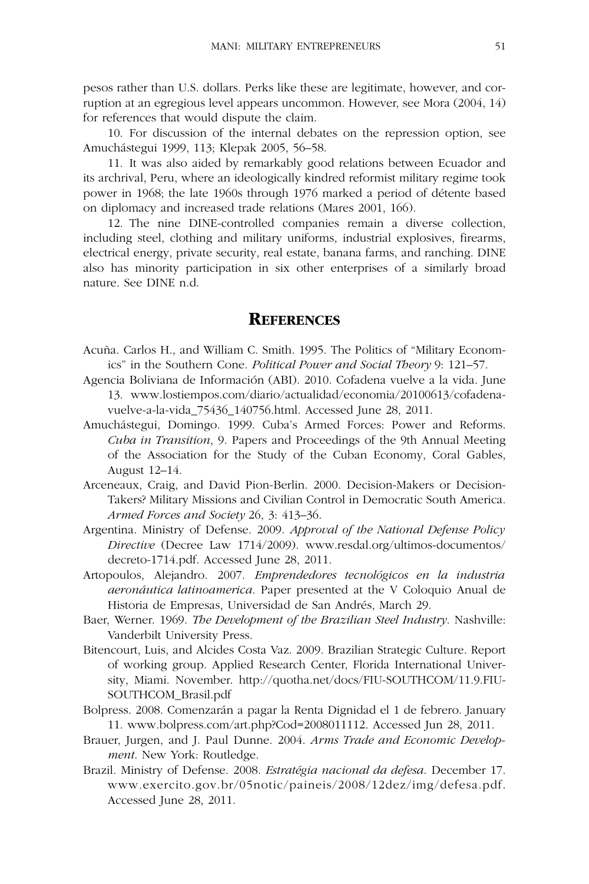pesos rather than U.S. dollars. Perks like these are legitimate, however, and corruption at an egregious level appears uncommon. However, see Mora (2004, 14) for references that would dispute the claim.

10. For discussion of the internal debates on the repression option, see Amuchástegui 1999, 113; Klepak 2005, 56–58.

11. It was also aided by remarkably good relations between Ecuador and its archrival, Peru, where an ideologically kindred reformist military regime took power in 1968; the late 1960s through 1976 marked a period of détente based on diplomacy and increased trade relations (Mares 2001, 166).

12. The nine DINE-controlled companies remain a diverse collection, including steel, clothing and military uniforms, industrial explosives, firearms, electrical energy, private security, real estate, banana farms, and ranching. DINE also has minority participation in six other enterprises of a similarly broad nature. See DINE n.d.

## **REFERENCES**

- Acuña. Carlos H., and William C. Smith. 1995. The Politics of "Military Economics" in the Southern Cone. *Political Power and Social Theory* 9: 121–57.
- Agencia Boliviana de Información (ABI). 2010. Cofadena vuelve a la vida. June 13. www.lostiempos.com/diario/actualidad/economia/20100613/cofadenavuelve-a-la-vida\_75436\_140756.html. Accessed June 28, 2011.
- Amuchástegui, Domingo. 1999. Cuba's Armed Forces: Power and Reforms. *Cuba in Transition*, 9. Papers and Proceedings of the 9th Annual Meeting of the Association for the Study of the Cuban Economy, Coral Gables, August 12–14.
- Arceneaux, Craig, and David Pion-Berlin. 2000. Decision-Makers or Decision-Takers? Military Missions and Civilian Control in Democratic South America. *Armed Forces and Society* 26, 3: 413–36.
- Argentina. Ministry of Defense. 2009. *Approval of the National Defense Policy Directive* (Decree Law 1714/2009). www.resdal.org/ultimos-documentos/ decreto-1714.pdf. Accessed June 28, 2011.
- Artopoulos, Alejandro. 2007. *Emprendedores tecnológicos en la industria aeronáutica latinoamerica*. Paper presented at the V Coloquio Anual de Historia de Empresas, Universidad de San Andrés, March 29.
- Baer, Werner. 1969. *The Development of the Brazilian Steel Industry*. Nashville: Vanderbilt University Press.
- Bitencourt, Luis, and Alcides Costa Vaz. 2009. Brazilian Strategic Culture. Report of working group. Applied Research Center, Florida International University, Miami. November. http://quotha.net/docs/FIU-SOUTHCOM/11.9.FIU-SOUTHCOM\_Brasil.pdf
- Bolpress. 2008. Comenzarán a pagar la Renta Dignidad el 1 de febrero. January 11. www.bolpress.com/art.php?Cod=2008011112. Accessed Jun 28, 2011.
- Brauer, Jurgen, and J. Paul Dunne. 2004. *Arms Trade and Economic Development*. New York: Routledge.
- Brazil. Ministry of Defense. 2008. *Estratégia nacional da defesa*. December 17. www.exercito.gov.br/05notic/paineis/2008/12dez/img/defesa.pdf. Accessed June 28, 2011.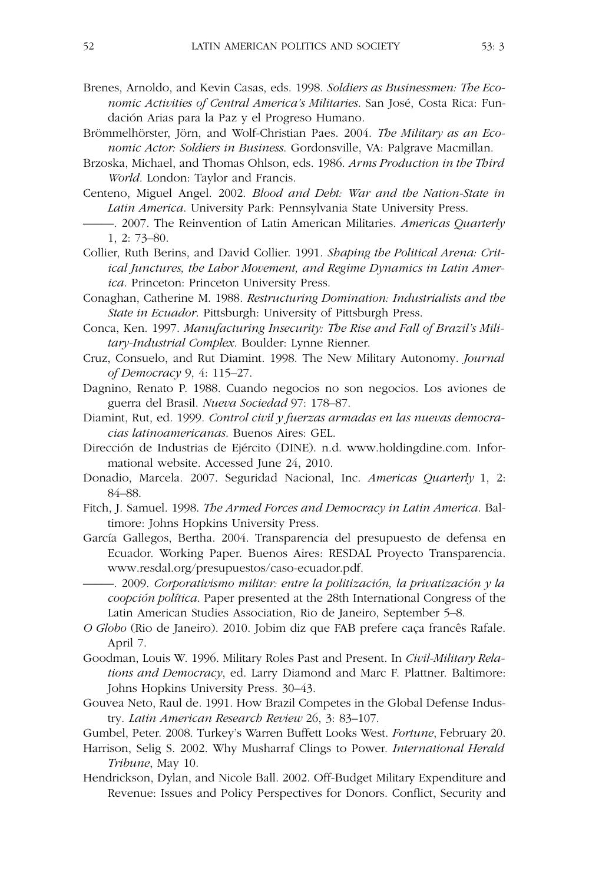- Brenes, Arnoldo, and Kevin Casas, eds. 1998. *Soldiers as Businessmen: The Economic Activities of Central America's Militaries.* San José, Costa Rica: Fundación Arias para la Paz y el Progreso Humano.
- Brömmelhörster, Jörn, and Wolf-Christian Paes. 2004. *The Military as an Economic Actor: Soldiers in Business*. Gordonsville, VA: Palgrave Macmillan.
- Brzoska, Michael, and Thomas Ohlson, eds. 1986. *Arms Production in the Third World*. London: Taylor and Francis.
- Centeno, Miguel Angel. 2002. *Blood and Debt: War and the Nation-State in Latin America*. University Park: Pennsylvania State University Press.
- –––––. 2007. The Reinvention of Latin American Militaries. *Americas Quarterly* 1, 2: 73–80.
- Collier, Ruth Berins, and David Collier. 1991. *Shaping the Political Arena: Critical Junctures, the Labor Movement, and Regime Dynamics in Latin America*. Princeton: Princeton University Press.
- Conaghan, Catherine M. 1988. *Restructuring Domination: Industrialists and the State in Ecuador*. Pittsburgh: University of Pittsburgh Press.
- Conca, Ken. 1997. *Manufacturing Insecurity: The Rise and Fall of Brazil's Military-Industrial Complex*. Boulder: Lynne Rienner.
- Cruz, Consuelo, and Rut Diamint. 1998. The New Military Autonomy. *Journal of Democracy* 9, 4: 115–27.
- Dagnino, Renato P. 1988. Cuando negocios no son negocios. Los aviones de guerra del Brasil. *Nueva Sociedad* 97: 178–87.
- Diamint, Rut, ed. 1999. *Control civil y fuerzas armadas en las nuevas democracias latinoamericanas*. Buenos Aires: GEL.
- Dirección de Industrias de Ejército (DINE). n.d. www.holdingdine.com. Informational website. Accessed June 24, 2010.
- Donadio, Marcela. 2007. Seguridad Nacional, Inc. *Americas Quarterly* 1, 2: 84–88.
- Fitch, J. Samuel. 1998. *The Armed Forces and Democracy in Latin America*. Baltimore: Johns Hopkins University Press.
- García Gallegos, Bertha. 2004. Transparencia del presupuesto de defensa en Ecuador. Working Paper. Buenos Aires: RESDAL Proyecto Transparencia. www.resdal.org/presupuestos/caso-ecuador.pdf.
	- –––––. 2009. *Corporativismo militar: entre la politización, la privatización y la coopción política*. Paper presented at the 28th International Congress of the Latin American Studies Association, Rio de Janeiro, September 5–8.
- *O Globo* (Rio de Janeiro). 2010. Jobim diz que FAB prefere caça francês Rafale. April 7.
- Goodman, Louis W. 1996. Military Roles Past and Present. In *Civil-Military Relations and Democracy*, ed. Larry Diamond and Marc F. Plattner. Baltimore: Johns Hopkins University Press. 30–43.
- Gouvea Neto, Raul de. 1991. How Brazil Competes in the Global Defense Industry. *Latin American Research Review* 26, 3: 83–107.
- Gumbel, Peter. 2008. Turkey's Warren Buffett Looks West. *Fortune*, February 20.
- Harrison, Selig S. 2002. Why Musharraf Clings to Power. *International Herald Tribune*, May 10.
- Hendrickson, Dylan, and Nicole Ball. 2002. Off-Budget Military Expenditure and Revenue: Issues and Policy Perspectives for Donors. Conflict, Security and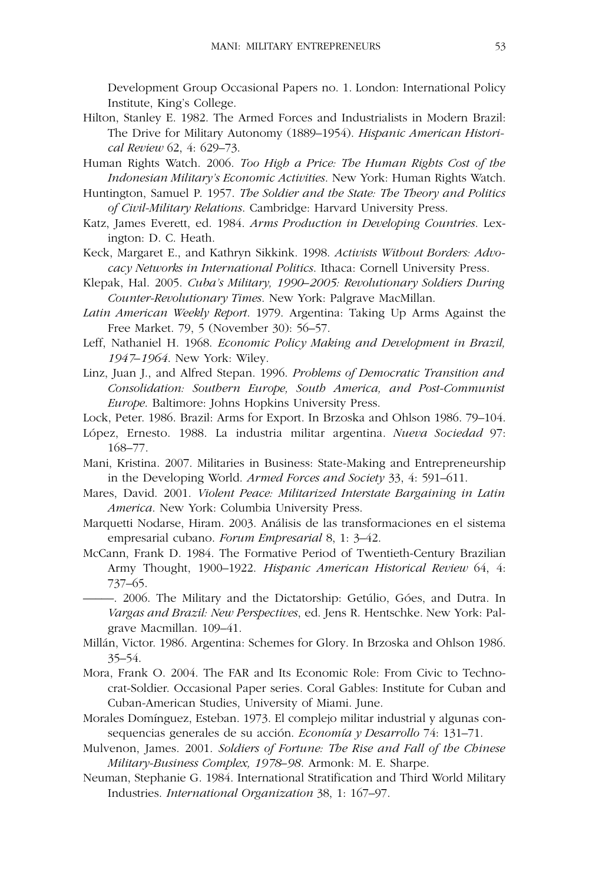Development Group Occasional Papers no. 1. London: International Policy Institute, King's College.

- Hilton, Stanley E. 1982. The Armed Forces and Industrialists in Modern Brazil: The Drive for Military Autonomy (1889–1954). *Hispanic American Historical Review* 62, 4: 629–73.
- Human Rights Watch. 2006. *Too High a Price: The Human Rights Cost of the Indonesian Military's Economic Activities*. New York: Human Rights Watch.
- Huntington, Samuel P. 1957. *The Soldier and the State: The Theory and Politics of Civil-Military Relations*. Cambridge: Harvard University Press.
- Katz, James Everett, ed. 1984. *Arms Production in Developing Countries*. Lexington: D. C. Heath.
- Keck, Margaret E., and Kathryn Sikkink. 1998. *Activists Without Borders: Advocacy Networks in International Politics*. Ithaca: Cornell University Press.
- Klepak, Hal. 2005. *Cuba's Military, 1990–2005: Revolutionary Soldiers During Counter-Revolutionary Times*. New York: Palgrave MacMillan.
- *Latin American Weekly Report*. 1979. Argentina: Taking Up Arms Against the Free Market. 79, 5 (November 30): 56–57.
- Leff, Nathaniel H. 1968. *Economic Policy Making and Development in Brazil, 1947–1964*. New York: Wiley.
- Linz, Juan J., and Alfred Stepan. 1996. *Problems of Democratic Transition and Consolidation: Southern Europe, South America, and Post-Communist Europe*. Baltimore: Johns Hopkins University Press.
- Lock, Peter. 1986. Brazil: Arms for Export. In Brzoska and Ohlson 1986. 79–104.
- López, Ernesto. 1988. La industria militar argentina. *Nueva Sociedad* 97: 168–77.
- Mani, Kristina. 2007. Militaries in Business: State-Making and Entrepreneurship in the Developing World. *Armed Forces and Society* 33, 4: 591–611.
- Mares, David. 2001. *Violent Peace: Militarized Interstate Bargaining in Latin America*. New York: Columbia University Press.
- Marquetti Nodarse, Hiram. 2003. Análisis de las transformaciones en el sistema empresarial cubano. *Forum Empresarial* 8, 1: 3–42.
- McCann, Frank D. 1984. The Formative Period of Twentieth-Century Brazilian Army Thought, 1900–1922. *Hispanic American Historical Review* 64, 4: 737–65.
	- –––––. 2006. The Military and the Dictatorship: Getúlio, Góes, and Dutra. In *Vargas and Brazil: New Perspectives*, ed. Jens R. Hentschke. New York: Palgrave Macmillan. 109–41.
- Millán, Victor. 1986. Argentina: Schemes for Glory. In Brzoska and Ohlson 1986. 35–54.
- Mora, Frank O. 2004. The FAR and Its Economic Role: From Civic to Technocrat-Soldier. Occasional Paper series. Coral Gables: Institute for Cuban and Cuban-American Studies, University of Miami. June.
- Morales Domínguez, Esteban. 1973. El complejo militar industrial y algunas consequencias generales de su acción. *Economía y Desarrollo* 74: 131–71.
- Mulvenon, James. 2001. *Soldiers of Fortune: The Rise and Fall of the Chinese Military-Business Complex, 1978–98*. Armonk: M. E. Sharpe.
- Neuman, Stephanie G. 1984. International Stratification and Third World Military Industries. *International Organization* 38, 1: 167–97.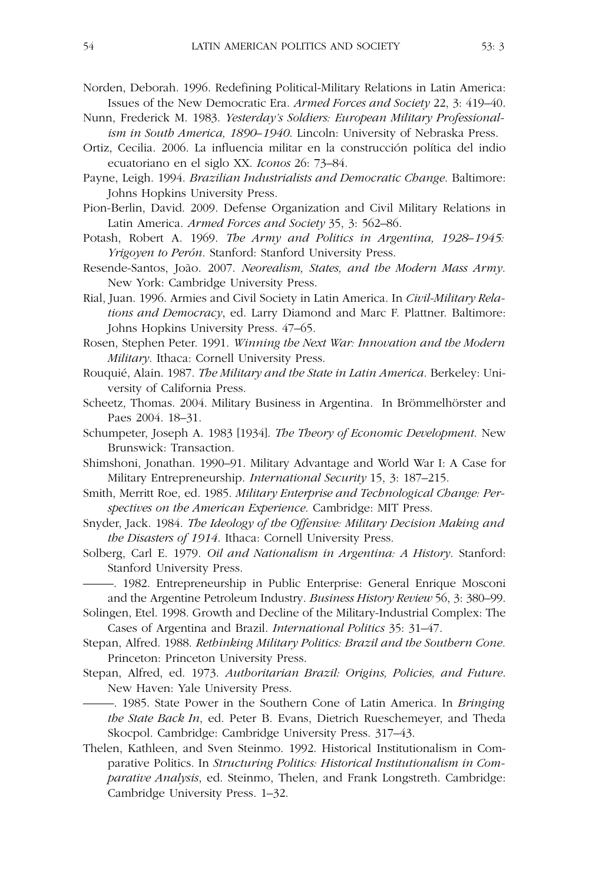- Norden, Deborah. 1996. Redefining Political-Military Relations in Latin America: Issues of the New Democratic Era. *Armed Forces and Society* 22, 3: 419–40.
- Nunn, Frederick M. 1983. *Yesterday's Soldiers: European Military Professionalism in South America, 1890–1940*. Lincoln: University of Nebraska Press.
- Ortiz, Cecilia. 2006. La influencia militar en la construcción política del indio ecuatoriano en el siglo XX. *Iconos* 26: 73–84.
- Payne, Leigh. 1994. *Brazilian Industrialists and Democratic Change*. Baltimore: Johns Hopkins University Press.
- Pion-Berlin, David. 2009. Defense Organization and Civil Military Relations in Latin America. *Armed Forces and Society* 35, 3: 562–86.
- Potash, Robert A. 1969. *The Army and Politics in Argentina, 1928–1945: Yrigoyen to Perón*. Stanford: Stanford University Press.
- Resende-Santos, João. 2007. *Neorealism, States, and the Modern Mass Army.* New York: Cambridge University Press.
- Rial, Juan. 1996. Armies and Civil Society in Latin America. In *Civil-Military Relations and Democracy*, ed. Larry Diamond and Marc F. Plattner. Baltimore: Johns Hopkins University Press. 47–65.
- Rosen, Stephen Peter. 1991. *Winning the Next War: Innovation and the Modern Military*. Ithaca: Cornell University Press.
- Rouquié, Alain. 1987. *The Military and the State in Latin America*. Berkeley: University of California Press.
- Scheetz, Thomas. 2004. Military Business in Argentina. In Brömmelhörster and Paes 2004. 18–31.
- Schumpeter, Joseph A. 1983 [1934]. *The Theory of Economic Development*. New Brunswick: Transaction.
- Shimshoni, Jonathan. 1990–91. Military Advantage and World War I: A Case for Military Entrepreneurship. *International Security* 15, 3: 187–215.
- Smith, Merritt Roe, ed. 1985. *Military Enterprise and Technological Change: Perspectives on the American Experience*. Cambridge: MIT Press.
- Snyder, Jack. 1984. *The Ideology of the Offensive: Military Decision Making and the Disasters of 1914*. Ithaca: Cornell University Press.
- Solberg, Carl E. 1979. *Oil and Nationalism in Argentina: A History*. Stanford: Stanford University Press.
- –––––. 1982. Entrepreneurship in Public Enterprise: General Enrique Mosconi and the Argentine Petroleum Industry. *Business History Review* 56, 3: 380–99.
- Solingen, Etel. 1998. Growth and Decline of the Military-Industrial Complex: The Cases of Argentina and Brazil. *International Politics* 35: 31–47.
- Stepan, Alfred. 1988. *Rethinking Military Politics: Brazil and the Southern Cone.* Princeton: Princeton University Press.
- Stepan, Alfred, ed. 1973. *Authoritarian Brazil: Origins, Policies, and Future*. New Haven: Yale University Press.
	- –––––. 1985. State Power in the Southern Cone of Latin America. In *Bringing the State Back In*, ed. Peter B. Evans, Dietrich Rueschemeyer, and Theda Skocpol. Cambridge: Cambridge University Press. 317–43.
- Thelen, Kathleen, and Sven Steinmo. 1992. Historical Institutionalism in Comparative Politics. In *Structuring Politics: Historical Institutionalism in Comparative Analysis*, ed. Steinmo, Thelen, and Frank Longstreth. Cambridge: Cambridge University Press. 1–32.